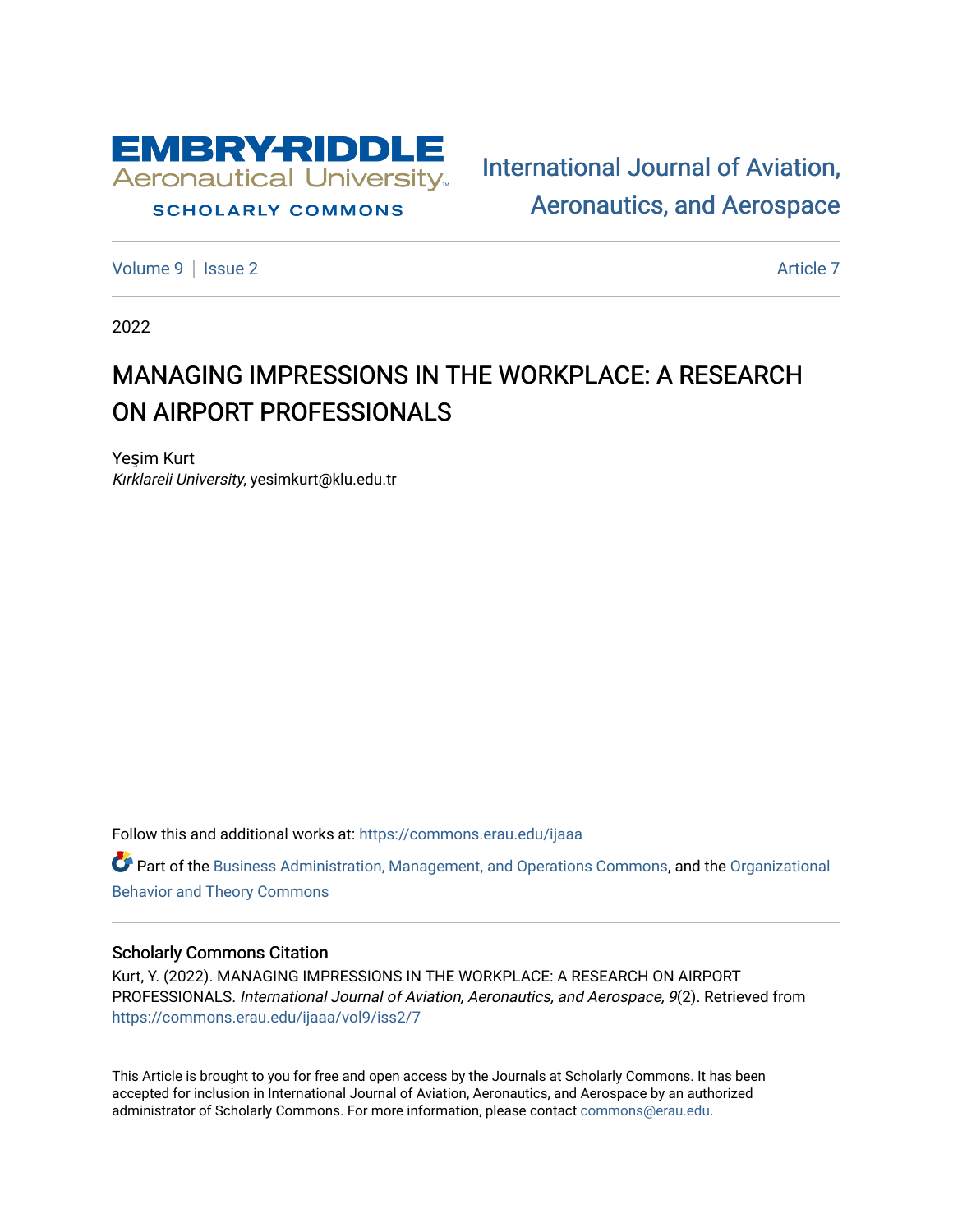

# **SCHOLARLY COMMONS**

[International Journal of Aviation,](https://commons.erau.edu/ijaaa)  [Aeronautics, and Aerospace](https://commons.erau.edu/ijaaa) 

[Volume 9](https://commons.erau.edu/ijaaa/vol9) | [Issue 2](https://commons.erau.edu/ijaaa/vol9/iss2) Article 7

2022

# MANAGING IMPRESSIONS IN THE WORKPLACE: A RESEARCH ON AIRPORT PROFESSIONALS

Yeşim Kurt Kırklareli University, yesimkurt@klu.edu.tr

Follow this and additional works at: [https://commons.erau.edu/ijaaa](https://commons.erau.edu/ijaaa?utm_source=commons.erau.edu%2Fijaaa%2Fvol9%2Fiss2%2F7&utm_medium=PDF&utm_campaign=PDFCoverPages) 

Part of the [Business Administration, Management, and Operations Commons](https://network.bepress.com/hgg/discipline/623?utm_source=commons.erau.edu%2Fijaaa%2Fvol9%2Fiss2%2F7&utm_medium=PDF&utm_campaign=PDFCoverPages), and the [Organizational](https://network.bepress.com/hgg/discipline/639?utm_source=commons.erau.edu%2Fijaaa%2Fvol9%2Fiss2%2F7&utm_medium=PDF&utm_campaign=PDFCoverPages)  [Behavior and Theory Commons](https://network.bepress.com/hgg/discipline/639?utm_source=commons.erau.edu%2Fijaaa%2Fvol9%2Fiss2%2F7&utm_medium=PDF&utm_campaign=PDFCoverPages) 

# Scholarly Commons Citation

Kurt, Y. (2022). MANAGING IMPRESSIONS IN THE WORKPLACE: A RESEARCH ON AIRPORT PROFESSIONALS. International Journal of Aviation, Aeronautics, and Aerospace, 9(2). Retrieved from [https://commons.erau.edu/ijaaa/vol9/iss2/7](https://commons.erau.edu/ijaaa/vol9/iss2/7?utm_source=commons.erau.edu%2Fijaaa%2Fvol9%2Fiss2%2F7&utm_medium=PDF&utm_campaign=PDFCoverPages)

This Article is brought to you for free and open access by the Journals at Scholarly Commons. It has been accepted for inclusion in International Journal of Aviation, Aeronautics, and Aerospace by an authorized administrator of Scholarly Commons. For more information, please contact [commons@erau.edu](mailto:commons@erau.edu).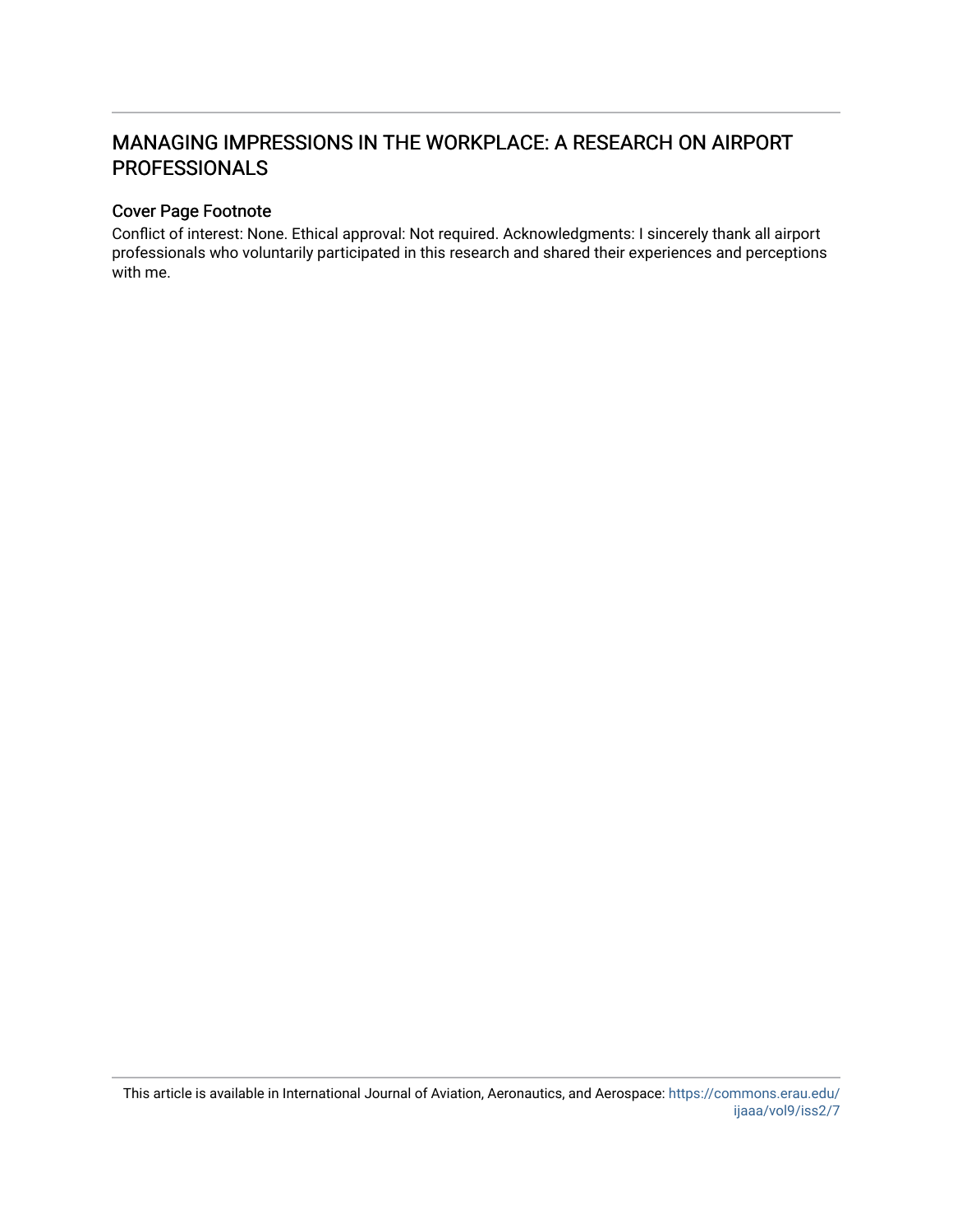# MANAGING IMPRESSIONS IN THE WORKPLACE: A RESEARCH ON AIRPORT PROFESSIONALS

#### Cover Page Footnote

Conflict of interest: None. Ethical approval: Not required. Acknowledgments: I sincerely thank all airport professionals who voluntarily participated in this research and shared their experiences and perceptions with me.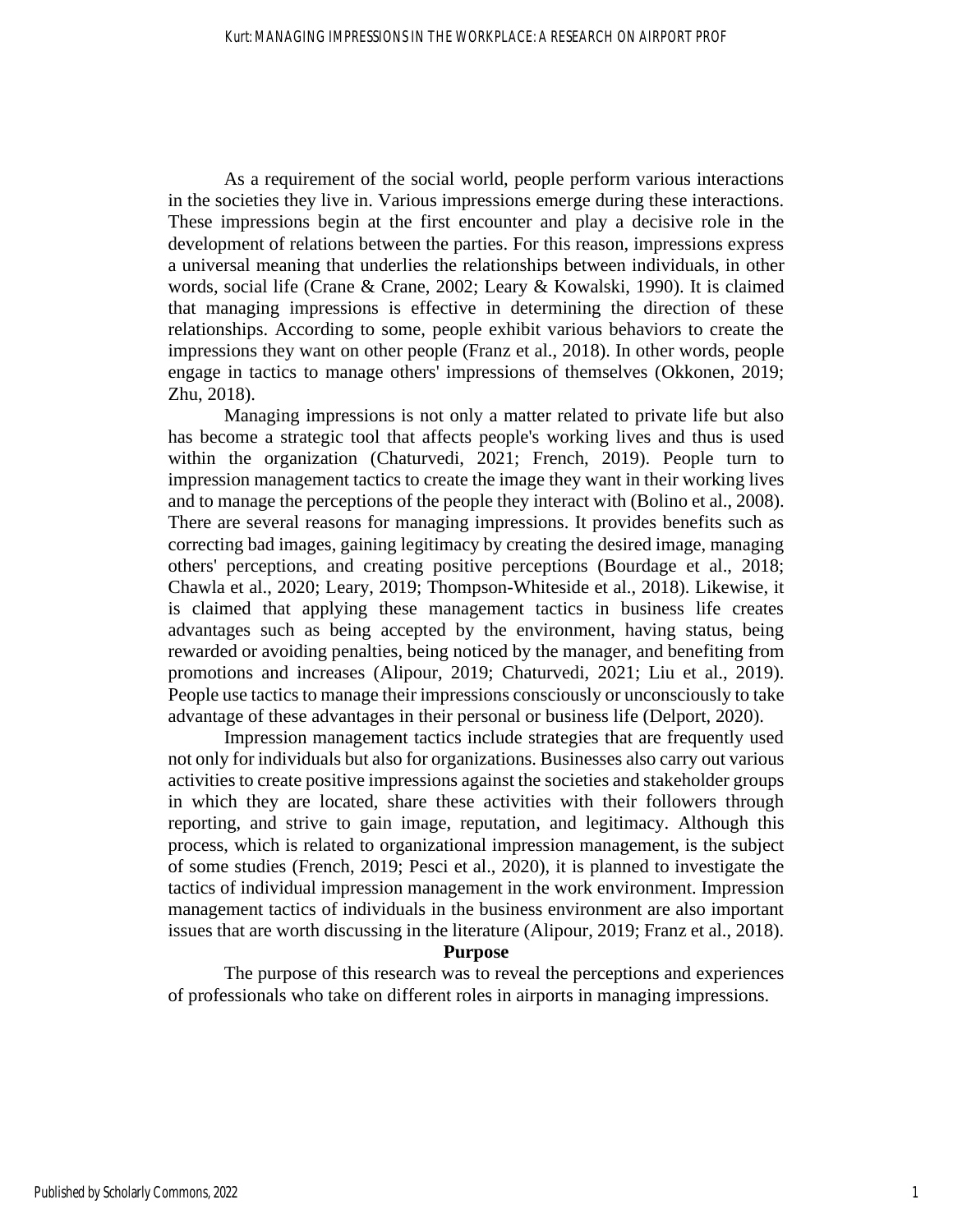As a requirement of the social world, people perform various interactions in the societies they live in. Various impressions emerge during these interactions. These impressions begin at the first encounter and play a decisive role in the development of relations between the parties. For this reason, impressions express a universal meaning that underlies the relationships between individuals, in other words, social life (Crane & Crane, 2002; Leary & Kowalski, 1990). It is claimed that managing impressions is effective in determining the direction of these relationships. According to some, people exhibit various behaviors to create the impressions they want on other people (Franz et al., 2018). In other words, people engage in tactics to manage others' impressions of themselves (Okkonen, 2019; Zhu, 2018).

Managing impressions is not only a matter related to private life but also has become a strategic tool that affects people's working lives and thus is used within the organization (Chaturvedi, 2021; French, 2019). People turn to impression management tactics to create the image they want in their working lives and to manage the perceptions of the people they interact with (Bolino et al., 2008). There are several reasons for managing impressions. It provides benefits such as correcting bad images, gaining legitimacy by creating the desired image, managing others' perceptions, and creating positive perceptions (Bourdage et al., 2018; Chawla et al., 2020; Leary, 2019; Thompson-Whiteside et al., 2018). Likewise, it is claimed that applying these management tactics in business life creates advantages such as being accepted by the environment, having status, being rewarded or avoiding penalties, being noticed by the manager, and benefiting from promotions and increases (Alipour, 2019; Chaturvedi, 2021; Liu et al., 2019). People use tactics to manage their impressions consciously or unconsciously to take advantage of these advantages in their personal or business life (Delport, 2020).

Impression management tactics include strategies that are frequently used not only for individuals but also for organizations. Businesses also carry out various activities to create positive impressions against the societies and stakeholder groups in which they are located, share these activities with their followers through reporting, and strive to gain image, reputation, and legitimacy. Although this process, which is related to organizational impression management, is the subject of some studies (French, 2019; Pesci et al., 2020), it is planned to investigate the tactics of individual impression management in the work environment. Impression management tactics of individuals in the business environment are also important issues that are worth discussing in the literature (Alipour, 2019; Franz et al., 2018).

#### **Purpose**

The purpose of this research was to reveal the perceptions and experiences of professionals who take on different roles in airports in managing impressions.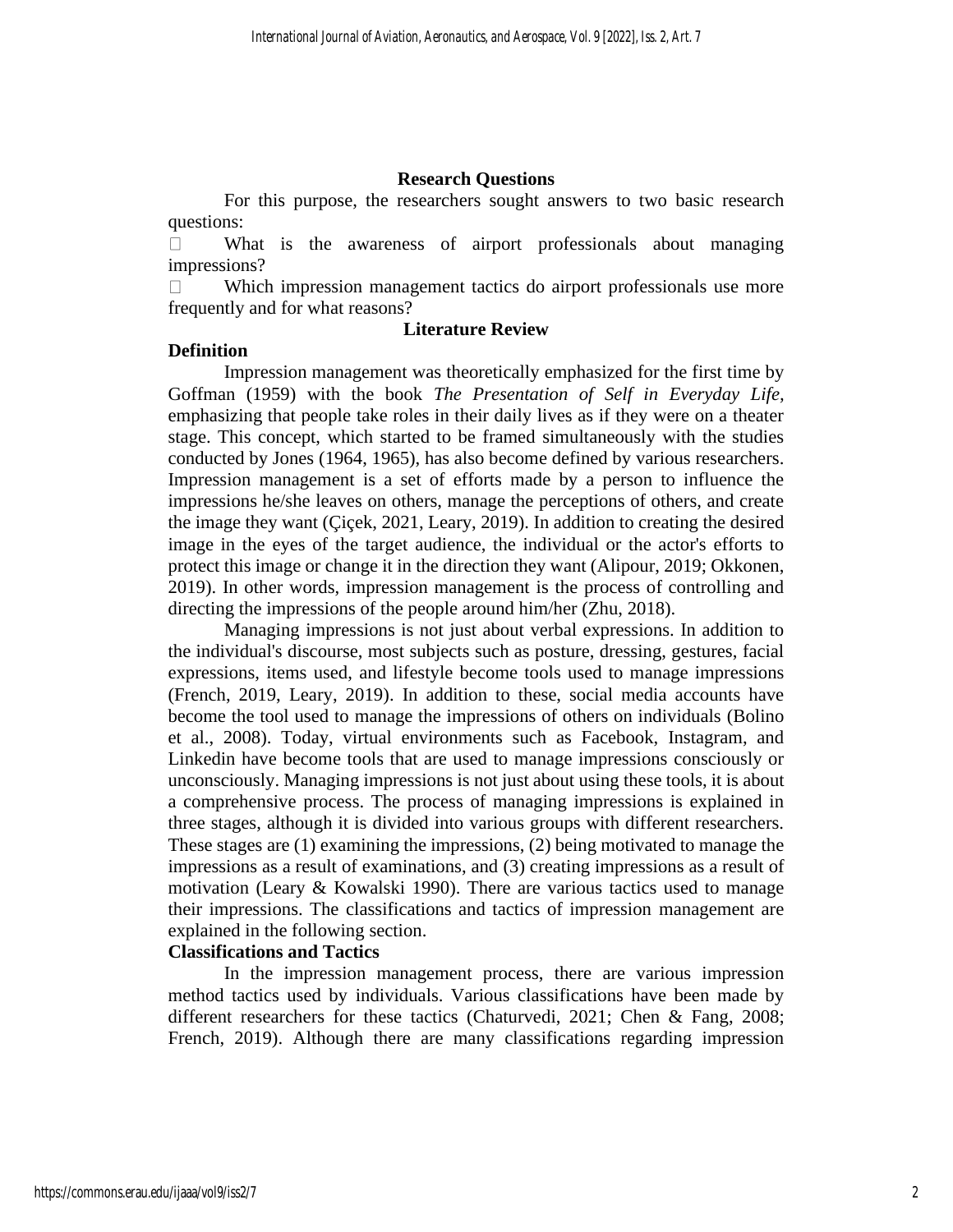#### **Research Questions**

For this purpose, the researchers sought answers to two basic research questions:

 $\Box$ What is the awareness of airport professionals about managing impressions?

Which impression management tactics do airport professionals use more  $\Box$ frequently and for what reasons?

#### **Literature Review**

#### **Definition**

Impression management was theoretically emphasized for the first time by Goffman (1959) with the book *The Presentation of Self in Everyday Life,* emphasizing that people take roles in their daily lives as if they were on a theater stage. This concept, which started to be framed simultaneously with the studies conducted by Jones (1964, 1965), has also become defined by various researchers. Impression management is a set of efforts made by a person to influence the impressions he/she leaves on others, manage the perceptions of others, and create the image they want (Çiçek, 2021, Leary, 2019). In addition to creating the desired image in the eyes of the target audience, the individual or the actor's efforts to protect this image or change it in the direction they want (Alipour, 2019; Okkonen, 2019). In other words, impression management is the process of controlling and directing the impressions of the people around him/her (Zhu, 2018).

Managing impressions is not just about verbal expressions. In addition to the individual's discourse, most subjects such as posture, dressing, gestures, facial expressions, items used, and lifestyle become tools used to manage impressions (French, 2019, Leary, 2019). In addition to these, social media accounts have become the tool used to manage the impressions of others on individuals (Bolino et al., 2008). Today, virtual environments such as Facebook, Instagram, and Linkedin have become tools that are used to manage impressions consciously or unconsciously. Managing impressions is not just about using these tools, it is about a comprehensive process. The process of managing impressions is explained in three stages, although it is divided into various groups with different researchers. These stages are (1) examining the impressions, (2) being motivated to manage the impressions as a result of examinations, and (3) creating impressions as a result of motivation (Leary & Kowalski 1990). There are various tactics used to manage their impressions. The classifications and tactics of impression management are explained in the following section.

# **Classifications and Tactics**

In the impression management process, there are various impression method tactics used by individuals. Various classifications have been made by different researchers for these tactics (Chaturvedi, 2021; Chen & Fang, 2008; French, 2019). Although there are many classifications regarding impression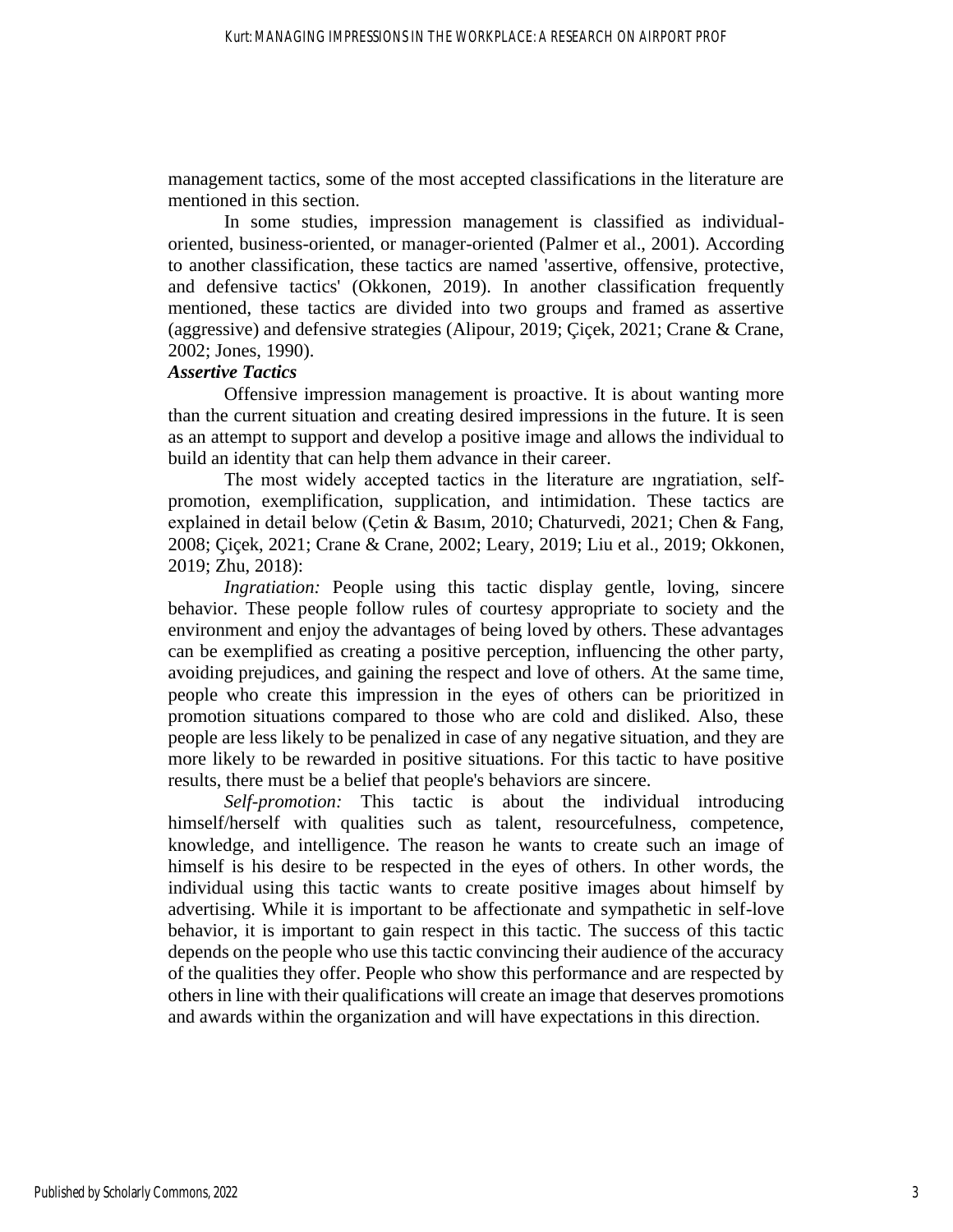management tactics, some of the most accepted classifications in the literature are mentioned in this section.

In some studies, impression management is classified as individualoriented, business-oriented, or manager-oriented (Palmer et al., 2001). According to another classification, these tactics are named 'assertive, offensive, protective, and defensive tactics' (Okkonen, 2019). In another classification frequently mentioned, these tactics are divided into two groups and framed as assertive (aggressive) and defensive strategies (Alipour, 2019; Çiçek, 2021; Crane & Crane, 2002; Jones, 1990).

#### *Assertive Tactics*

Offensive impression management is proactive. It is about wanting more than the current situation and creating desired impressions in the future. It is seen as an attempt to support and develop a positive image and allows the individual to build an identity that can help them advance in their career.

The most widely accepted tactics in the literature are ıngratiation, selfpromotion, exemplification, supplication, and intimidation. These tactics are explained in detail below (Çetin & Basım, 2010; Chaturvedi, 2021; Chen & Fang, 2008; Çiçek, 2021; Crane & Crane, 2002; Leary, 2019; Liu et al., 2019; Okkonen, 2019; Zhu, 2018):

*Ingratiation:* People using this tactic display gentle, loving, sincere behavior. These people follow rules of courtesy appropriate to society and the environment and enjoy the advantages of being loved by others. These advantages can be exemplified as creating a positive perception, influencing the other party, avoiding prejudices, and gaining the respect and love of others. At the same time, people who create this impression in the eyes of others can be prioritized in promotion situations compared to those who are cold and disliked. Also, these people are less likely to be penalized in case of any negative situation, and they are more likely to be rewarded in positive situations. For this tactic to have positive results, there must be a belief that people's behaviors are sincere.

*Self-promotion:* This tactic is about the individual introducing himself/herself with qualities such as talent, resourcefulness, competence, knowledge, and intelligence. The reason he wants to create such an image of himself is his desire to be respected in the eyes of others. In other words, the individual using this tactic wants to create positive images about himself by advertising. While it is important to be affectionate and sympathetic in self-love behavior, it is important to gain respect in this tactic. The success of this tactic depends on the people who use this tactic convincing their audience of the accuracy of the qualities they offer. People who show this performance and are respected by others in line with their qualifications will create an image that deserves promotions and awards within the organization and will have expectations in this direction.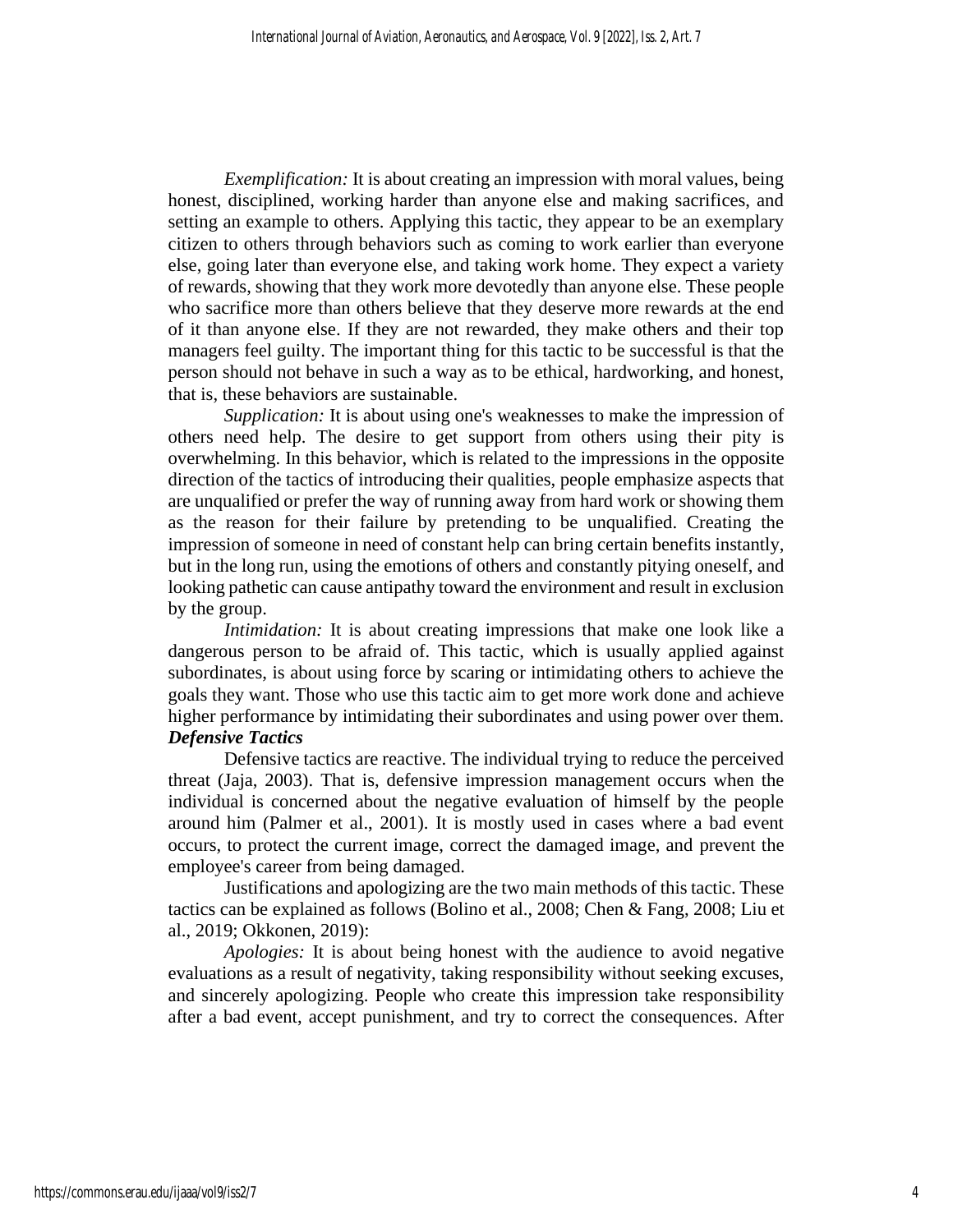*Exemplification:* It is about creating an impression with moral values, being honest, disciplined, working harder than anyone else and making sacrifices, and setting an example to others. Applying this tactic, they appear to be an exemplary citizen to others through behaviors such as coming to work earlier than everyone else, going later than everyone else, and taking work home. They expect a variety of rewards, showing that they work more devotedly than anyone else. These people who sacrifice more than others believe that they deserve more rewards at the end of it than anyone else. If they are not rewarded, they make others and their top managers feel guilty. The important thing for this tactic to be successful is that the person should not behave in such a way as to be ethical, hardworking, and honest, that is, these behaviors are sustainable.

*Supplication:* It is about using one's weaknesses to make the impression of others need help. The desire to get support from others using their pity is overwhelming. In this behavior, which is related to the impressions in the opposite direction of the tactics of introducing their qualities, people emphasize aspects that are unqualified or prefer the way of running away from hard work or showing them as the reason for their failure by pretending to be unqualified. Creating the impression of someone in need of constant help can bring certain benefits instantly, but in the long run, using the emotions of others and constantly pitying oneself, and looking pathetic can cause antipathy toward the environment and result in exclusion by the group.

*Intimidation:* It is about creating impressions that make one look like a dangerous person to be afraid of. This tactic, which is usually applied against subordinates, is about using force by scaring or intimidating others to achieve the goals they want. Those who use this tactic aim to get more work done and achieve higher performance by intimidating their subordinates and using power over them. *Defensive Tactics*

Defensive tactics are reactive. The individual trying to reduce the perceived threat (Jaja, 2003). That is, defensive impression management occurs when the individual is concerned about the negative evaluation of himself by the people around him (Palmer et al., 2001). It is mostly used in cases where a bad event occurs, to protect the current image, correct the damaged image, and prevent the employee's career from being damaged.

Justifications and apologizing are the two main methods of this tactic. These tactics can be explained as follows (Bolino et al., 2008; Chen & Fang, 2008; Liu et al., 2019; Okkonen, 2019):

*Apologies:* It is about being honest with the audience to avoid negative evaluations as a result of negativity, taking responsibility without seeking excuses, and sincerely apologizing. People who create this impression take responsibility after a bad event, accept punishment, and try to correct the consequences. After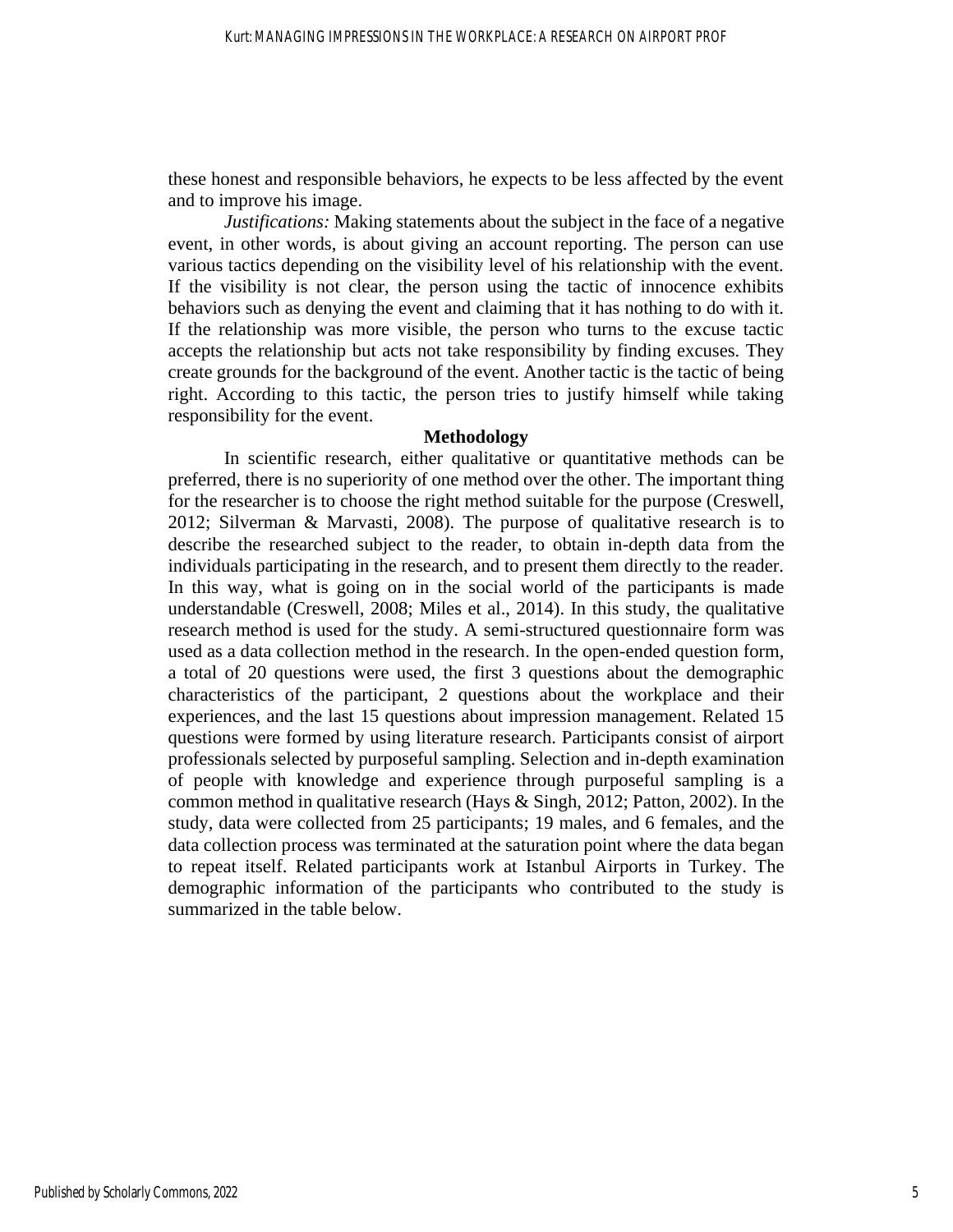these honest and responsible behaviors, he expects to be less affected by the event and to improve his image.

*Justifications:* Making statements about the subject in the face of a negative event, in other words, is about giving an account reporting. The person can use various tactics depending on the visibility level of his relationship with the event. If the visibility is not clear, the person using the tactic of innocence exhibits behaviors such as denying the event and claiming that it has nothing to do with it. If the relationship was more visible, the person who turns to the excuse tactic accepts the relationship but acts not take responsibility by finding excuses. They create grounds for the background of the event. Another tactic is the tactic of being right. According to this tactic, the person tries to justify himself while taking responsibility for the event.

#### **Methodology**

In scientific research, either qualitative or quantitative methods can be preferred, there is no superiority of one method over the other. The important thing for the researcher is to choose the right method suitable for the purpose (Creswell, 2012; Silverman & Marvasti, 2008). The purpose of qualitative research is to describe the researched subject to the reader, to obtain in-depth data from the individuals participating in the research, and to present them directly to the reader. In this way, what is going on in the social world of the participants is made understandable (Creswell, 2008; Miles et al., 2014). In this study, the qualitative research method is used for the study. A semi-structured questionnaire form was used as a data collection method in the research. In the open-ended question form, a total of 20 questions were used, the first 3 questions about the demographic characteristics of the participant, 2 questions about the workplace and their experiences, and the last 15 questions about impression management. Related 15 questions were formed by using literature research. Participants consist of airport professionals selected by purposeful sampling. Selection and in-depth examination of people with knowledge and experience through purposeful sampling is a common method in qualitative research (Hays & Singh, 2012; Patton, 2002). In the study, data were collected from 25 participants; 19 males, and 6 females, and the data collection process was terminated at the saturation point where the data began to repeat itself. Related participants work at Istanbul Airports in Turkey. The demographic information of the participants who contributed to the study is summarized in the table below.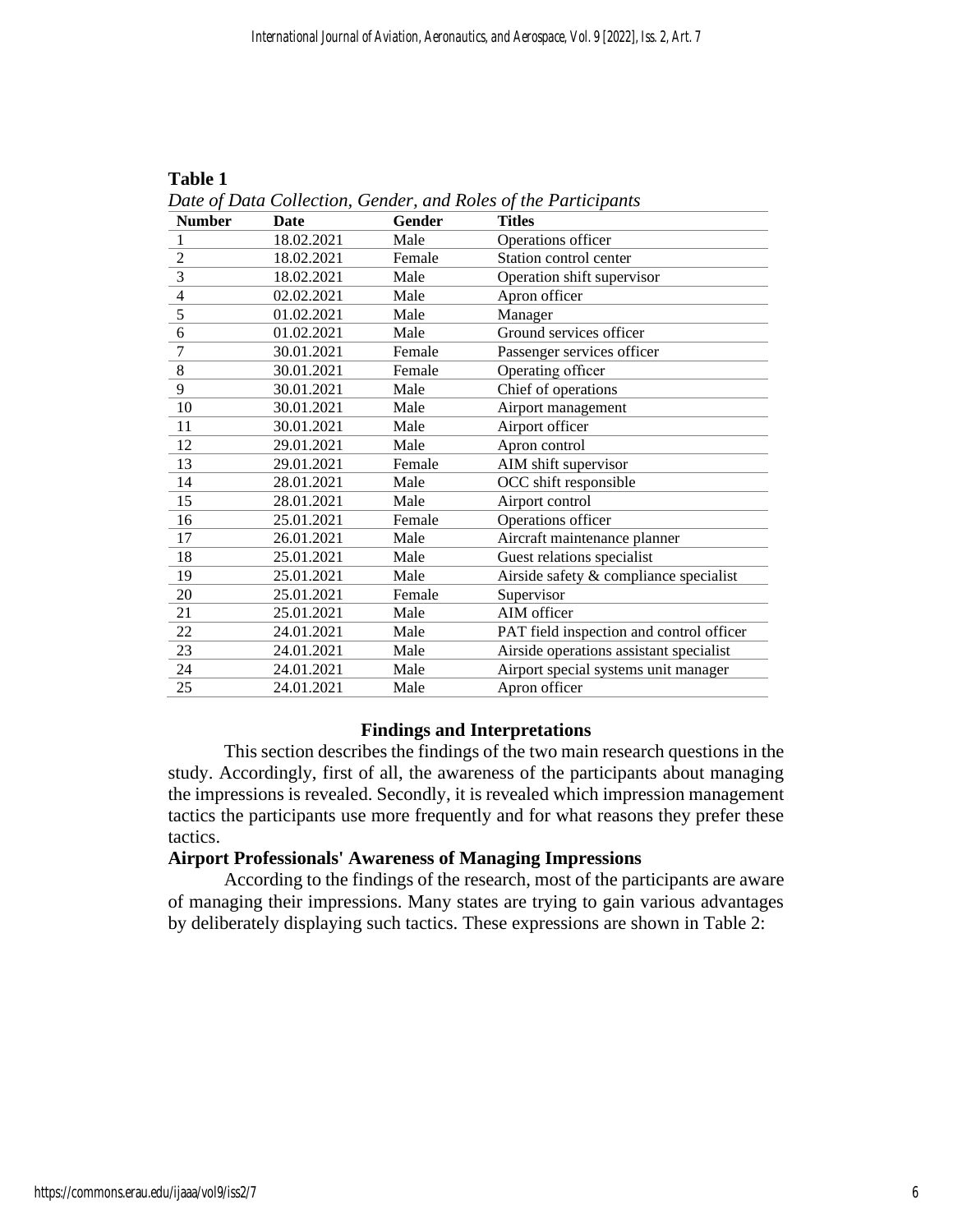| Date of Data Collection, Gender, and Roles of the Participants |             |               |                                          |  |
|----------------------------------------------------------------|-------------|---------------|------------------------------------------|--|
| <b>Number</b>                                                  | <b>Date</b> | <b>Gender</b> | <b>Titles</b>                            |  |
| $\mathbf{1}$                                                   | 18.02.2021  | Male          | Operations officer                       |  |
| $\overline{2}$                                                 | 18.02.2021  | Female        | Station control center                   |  |
| $\overline{3}$                                                 | 18.02.2021  | Male          | Operation shift supervisor               |  |
| $\overline{\mathcal{L}}$                                       | 02.02.2021  | Male          | Apron officer                            |  |
| $\overline{5}$                                                 | 01.02.2021  | Male          | Manager                                  |  |
| 6                                                              | 01.02.2021  | Male          | Ground services officer                  |  |
| $\overline{7}$                                                 | 30.01.2021  | Female        | Passenger services officer               |  |
| $\overline{8}$                                                 | 30.01.2021  | Female        | Operating officer                        |  |
| 9                                                              | 30.01.2021  | Male          | Chief of operations                      |  |
| 10                                                             | 30.01.2021  | Male          | Airport management                       |  |
| 11                                                             | 30.01.2021  | Male          | Airport officer                          |  |
| 12                                                             | 29.01.2021  | Male          | Apron control                            |  |
| 13                                                             | 29.01.2021  | Female        | AIM shift supervisor                     |  |
| 14                                                             | 28.01.2021  | Male          | OCC shift responsible                    |  |
| 15                                                             | 28.01.2021  | Male          | Airport control                          |  |
| 16                                                             | 25.01.2021  | Female        | Operations officer                       |  |
| 17                                                             | 26.01.2021  | Male          | Aircraft maintenance planner             |  |
| 18                                                             | 25.01.2021  | Male          | Guest relations specialist               |  |
| 19                                                             | 25.01.2021  | Male          | Airside safety & compliance specialist   |  |
| 20                                                             | 25.01.2021  | Female        | Supervisor                               |  |
| 21                                                             | 25.01.2021  | Male          | AIM officer                              |  |
| 22                                                             | 24.01.2021  | Male          | PAT field inspection and control officer |  |
| 23                                                             | 24.01.2021  | Male          | Airside operations assistant specialist  |  |
| 24                                                             | 24.01.2021  | Male          | Airport special systems unit manager     |  |
| 25                                                             | 24.01.2021  | Male          | Apron officer                            |  |

**Table 1**

#### **Findings and Interpretations**

This section describes the findings of the two main research questions in the study. Accordingly, first of all, the awareness of the participants about managing the impressions is revealed. Secondly, it is revealed which impression management tactics the participants use more frequently and for what reasons they prefer these tactics.

#### **Airport Professionals' Awareness of Managing Impressions**

According to the findings of the research, most of the participants are aware of managing their impressions. Many states are trying to gain various advantages by deliberately displaying such tactics. These expressions are shown in Table 2: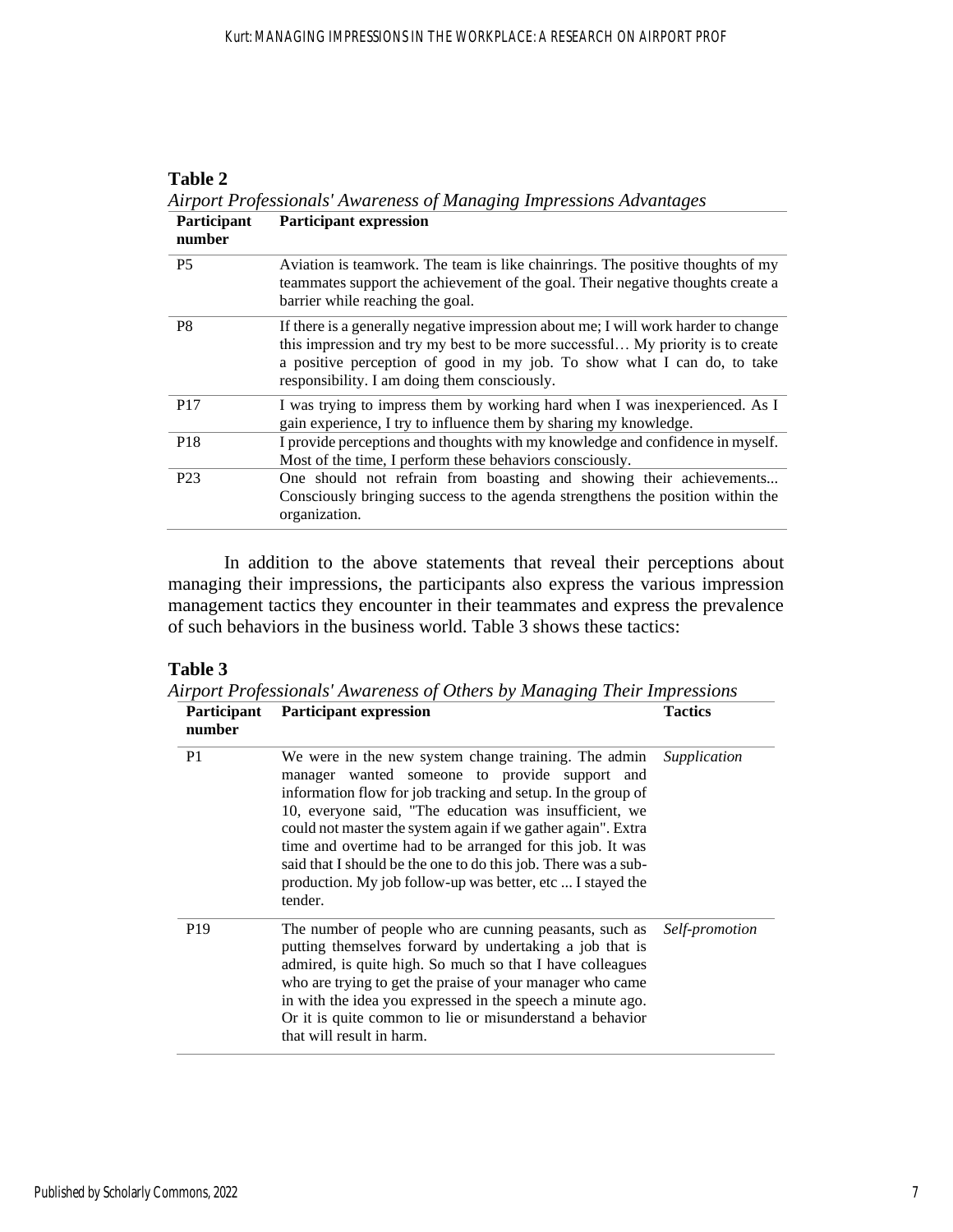| Participant<br>number | <b>Participant expression</b>                                                                                                                                                                                                                                                                   |
|-----------------------|-------------------------------------------------------------------------------------------------------------------------------------------------------------------------------------------------------------------------------------------------------------------------------------------------|
| <b>P5</b>             | Aviation is teamwork. The team is like chain rings. The positive thoughts of my<br>teammates support the achievement of the goal. Their negative thoughts create a<br>barrier while reaching the goal.                                                                                          |
| P <sub>8</sub>        | If there is a generally negative impression about me; I will work harder to change<br>this impression and try my best to be more successful My priority is to create<br>a positive perception of good in my job. To show what I can do, to take<br>responsibility. I am doing them consciously. |
| P <sub>17</sub>       | I was trying to impress them by working hard when I was inexperienced. As I<br>gain experience, I try to influence them by sharing my knowledge.                                                                                                                                                |
| P <sub>18</sub>       | I provide perceptions and thoughts with my knowledge and confidence in myself.<br>Most of the time, I perform these behaviors consciously.                                                                                                                                                      |
| P <sub>23</sub>       | One should not refrain from boasting and showing their achievements<br>Consciously bringing success to the agenda strengthens the position within the<br>organization.                                                                                                                          |

**Table 2** *Airport Professionals' Awareness of Managing Impressions Advantages*

In addition to the above statements that reveal their perceptions about managing their impressions, the participants also express the various impression management tactics they encounter in their teammates and express the prevalence of such behaviors in the business world. Table 3 shows these tactics:

# **Table 3**

*Airport Professionals' Awareness of Others by Managing Their Impressions*

| Participant<br>number | <b>Participant expression</b>                                                                                                                                                                                                                                                                                                                                                                                                                                                                           | <b>Tactics</b> |
|-----------------------|---------------------------------------------------------------------------------------------------------------------------------------------------------------------------------------------------------------------------------------------------------------------------------------------------------------------------------------------------------------------------------------------------------------------------------------------------------------------------------------------------------|----------------|
| P <sub>1</sub>        | We were in the new system change training. The admin<br>manager wanted someone to provide support and<br>information flow for job tracking and setup. In the group of<br>10, everyone said, "The education was insufficient, we<br>could not master the system again if we gather again". Extra<br>time and overtime had to be arranged for this job. It was<br>said that I should be the one to do this job. There was a sub-<br>production. My job follow-up was better, etc  I stayed the<br>tender. | Supplication   |
| P <sub>19</sub>       | The number of people who are cunning peasants, such as<br>putting themselves forward by undertaking a job that is<br>admired, is quite high. So much so that I have colleagues<br>who are trying to get the praise of your manager who came<br>in with the idea you expressed in the speech a minute ago.<br>Or it is quite common to lie or misunderstand a behavior<br>that will result in harm.                                                                                                      | Self-promotion |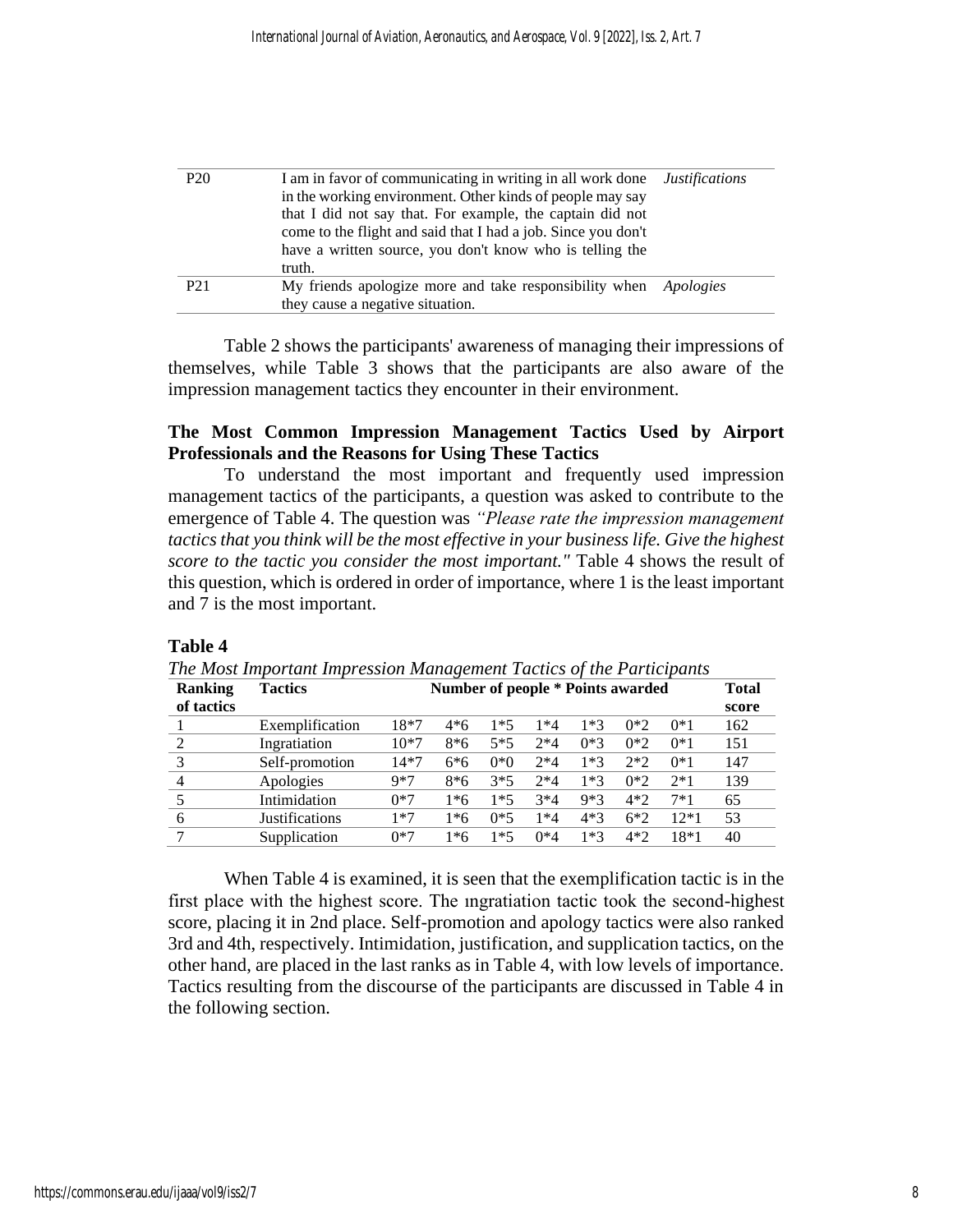| P <sub>20</sub> | I am in favor of communicating in writing in all work done              | <i>Justifications</i> |  |  |
|-----------------|-------------------------------------------------------------------------|-----------------------|--|--|
|                 | in the working environment. Other kinds of people may say               |                       |  |  |
|                 | that I did not say that. For example, the captain did not               |                       |  |  |
|                 | come to the flight and said that I had a job. Since you don't           |                       |  |  |
|                 | have a written source, you don't know who is telling the                |                       |  |  |
|                 | truth.                                                                  |                       |  |  |
| P <sub>21</sub> | My friends apologize more and take responsibility when <i>Apologies</i> |                       |  |  |
|                 | they cause a negative situation.                                        |                       |  |  |

Table 2 shows the participants' awareness of managing their impressions of themselves, while Table 3 shows that the participants are also aware of the impression management tactics they encounter in their environment.

### **The Most Common Impression Management Tactics Used by Airport Professionals and the Reasons for Using These Tactics**

To understand the most important and frequently used impression management tactics of the participants, a question was asked to contribute to the emergence of Table 4. The question was *"Please rate the impression management tactics that you think will be the most effective in your business life. Give the highest score to the tactic you consider the most important."* Table 4 shows the result of this question, which is ordered in order of importance, where 1 is the least important and 7 is the most important.

# **Table 4**

|  |  | The Most Important Impression Management Tactics of the Participants |  |
|--|--|----------------------------------------------------------------------|--|
|  |  |                                                                      |  |

| <b>Ranking</b> | <b>Tactics</b>        |        | Number of people * Points awarded |       |       |       |       |       | <b>Total</b> |
|----------------|-----------------------|--------|-----------------------------------|-------|-------|-------|-------|-------|--------------|
| of tactics     |                       |        |                                   |       |       |       |       |       | score        |
|                | Exemplification       | 18*7   | 4*6                               | $1*5$ | 1*4   | $1*3$ | $0*2$ | $0*1$ | 162          |
| っ              | Ingratiation          | $10*7$ | $8*6$                             | $5*5$ | $2*4$ | $0*3$ | $0*2$ | $0*1$ | 151          |
| 3              | Self-promotion        | $14*7$ | 6*6                               | $0*0$ | $2*4$ | $1*3$ | $2*2$ | $0*1$ | 147          |
|                | Apologies             | $9*7$  | $8*6$                             | $3*5$ | $2*4$ | $1*3$ | $0*2$ | $2*1$ | 139          |
|                | Intimidation          | $0*7$  | 1*6                               | $1*5$ | $3*4$ | $9*3$ | $4*2$ | $7*1$ | 65           |
| 6              | <b>Justifications</b> | *7     | l*6                               | $0*5$ | $*4$  | 4*3   | $6*2$ | 12*1  | 53           |
|                | Supplication          | 0*7    | l*6                               | 1*5   | $0*4$ | $1*3$ | $4*2$ | 18*1  | 40           |

When Table 4 is examined, it is seen that the exemplification tactic is in the first place with the highest score. The ıngratiation tactic took the second-highest score, placing it in 2nd place. Self-promotion and apology tactics were also ranked 3rd and 4th, respectively. Intimidation, justification, and supplication tactics, on the other hand, are placed in the last ranks as in Table 4, with low levels of importance. Tactics resulting from the discourse of the participants are discussed in Table 4 in the following section.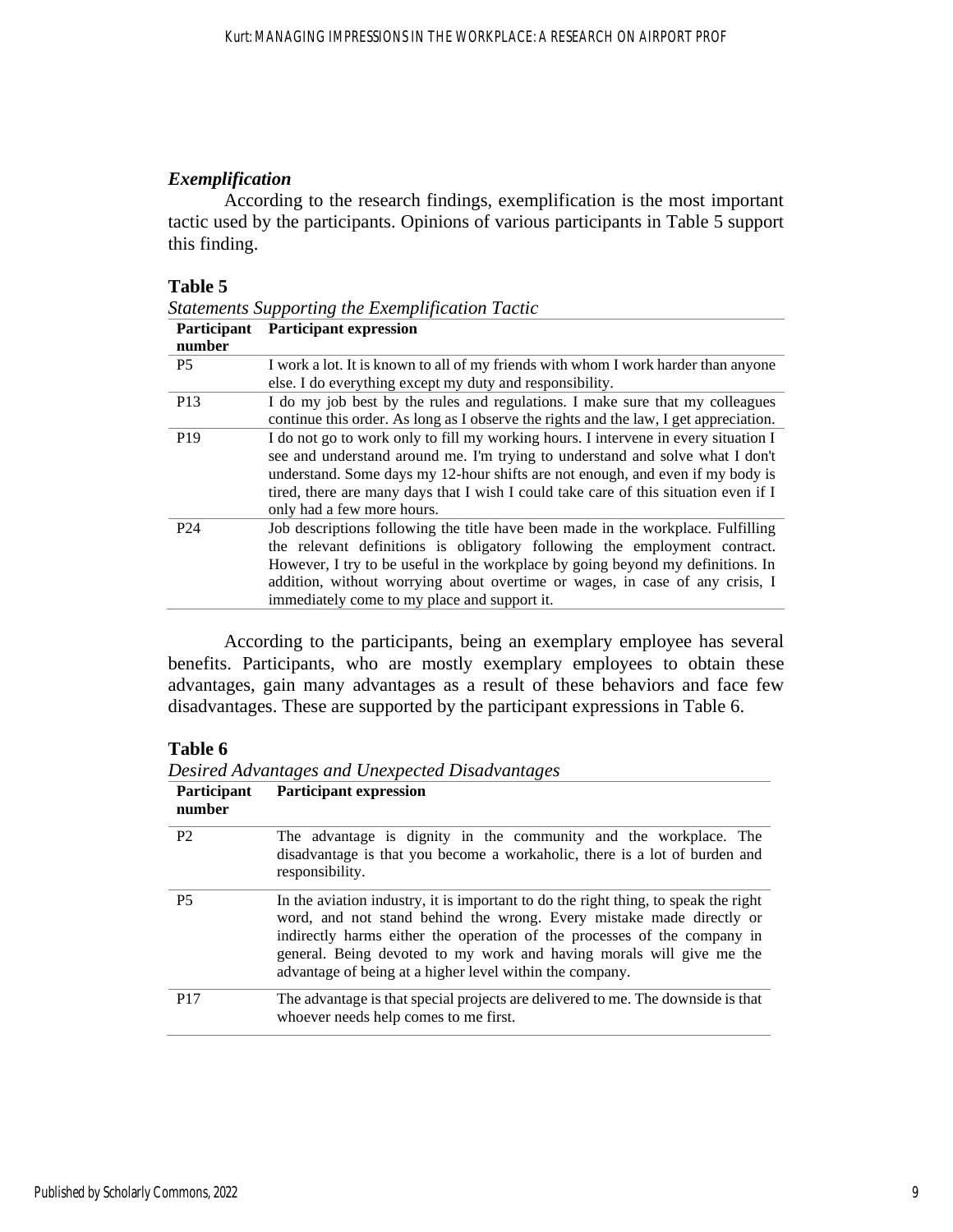# *Exemplification*

According to the research findings, exemplification is the most important tactic used by the participants. Opinions of various participants in Table 5 support this finding.

#### **Table 5**

*Statements Supporting the Exemplification Tactic*

| Participant     | <b>Participant expression</b>                                                                                                                                                                                                                                                                                                                                                    |
|-----------------|----------------------------------------------------------------------------------------------------------------------------------------------------------------------------------------------------------------------------------------------------------------------------------------------------------------------------------------------------------------------------------|
| number          |                                                                                                                                                                                                                                                                                                                                                                                  |
| <b>P5</b>       | I work a lot. It is known to all of my friends with whom I work harder than anyone<br>else. I do everything except my duty and responsibility.                                                                                                                                                                                                                                   |
| P <sub>13</sub> | I do my job best by the rules and regulations. I make sure that my colleagues<br>continue this order. As long as I observe the rights and the law, I get appreciation.                                                                                                                                                                                                           |
| P <sub>19</sub> | I do not go to work only to fill my working hours. I intervene in every situation I<br>see and understand around me. I'm trying to understand and solve what I don't<br>understand. Some days my 12-hour shifts are not enough, and even if my body is<br>tired, there are many days that I wish I could take care of this situation even if I<br>only had a few more hours.     |
| P <sub>24</sub> | Job descriptions following the title have been made in the workplace. Fulfilling<br>the relevant definitions is obligatory following the employment contract.<br>However, I try to be useful in the workplace by going beyond my definitions. In<br>addition, without worrying about overtime or wages, in case of any crisis, I<br>immediately come to my place and support it. |

According to the participants, being an exemplary employee has several benefits. Participants, who are mostly exemplary employees to obtain these advantages, gain many advantages as a result of these behaviors and face few disadvantages. These are supported by the participant expressions in Table 6.

# **Table 6**

| Desired Advantages and Unexpected Disadvantages |                                                                                                                                                                                                                                                                                                                                                                             |  |  |
|-------------------------------------------------|-----------------------------------------------------------------------------------------------------------------------------------------------------------------------------------------------------------------------------------------------------------------------------------------------------------------------------------------------------------------------------|--|--|
| Participant<br>number                           | <b>Participant expression</b>                                                                                                                                                                                                                                                                                                                                               |  |  |
| P <sub>2</sub>                                  | The advantage is dignity in the community and the workplace. The<br>disadvantage is that you become a workaholic, there is a lot of burden and<br>responsibility.                                                                                                                                                                                                           |  |  |
| <b>P5</b>                                       | In the aviation industry, it is important to do the right thing, to speak the right<br>word, and not stand behind the wrong. Every mistake made directly or<br>indirectly harms either the operation of the processes of the company in<br>general. Being devoted to my work and having morals will give me the<br>advantage of being at a higher level within the company. |  |  |
| P <sub>17</sub>                                 | The advantage is that special projects are delivered to me. The downside is that<br>whoever needs help comes to me first.                                                                                                                                                                                                                                                   |  |  |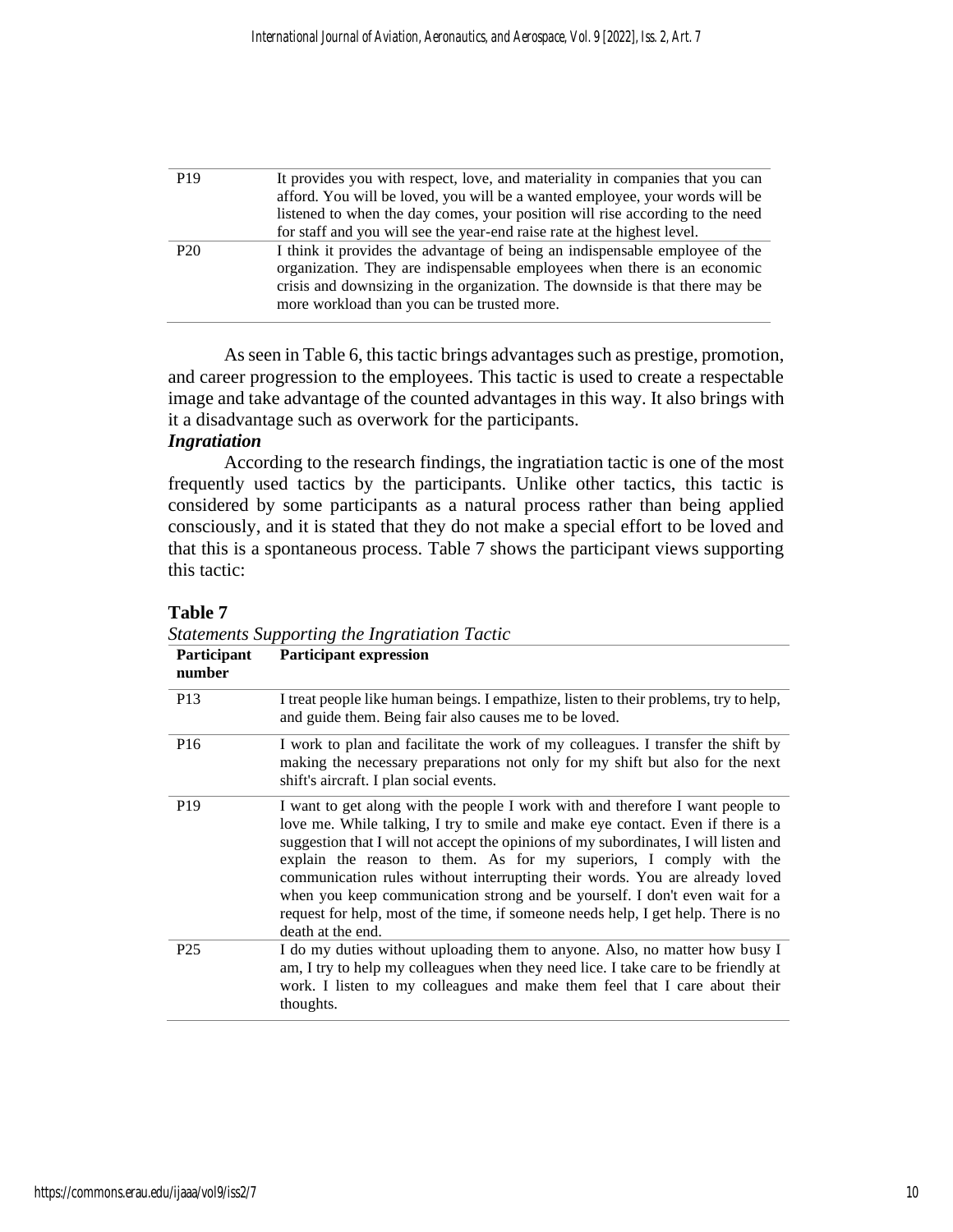| P <sub>19</sub> | It provides you with respect, love, and materiality in companies that you can                                                                                                                                                                                                          |
|-----------------|----------------------------------------------------------------------------------------------------------------------------------------------------------------------------------------------------------------------------------------------------------------------------------------|
|                 | afford. You will be loved, you will be a wanted employee, your words will be                                                                                                                                                                                                           |
|                 | listened to when the day comes, your position will rise according to the need                                                                                                                                                                                                          |
|                 | for staff and you will see the year-end raise rate at the highest level.                                                                                                                                                                                                               |
| P <sub>20</sub> | I think it provides the advantage of being an indispensable employee of the<br>organization. They are indispensable employees when there is an economic<br>crisis and downsizing in the organization. The downside is that there may be<br>more workload than you can be trusted more. |

As seen in Table 6, this tactic brings advantages such as prestige, promotion, and career progression to the employees. This tactic is used to create a respectable image and take advantage of the counted advantages in this way. It also brings with it a disadvantage such as overwork for the participants.

# *Ingratiation*

According to the research findings, the ingratiation tactic is one of the most frequently used tactics by the participants. Unlike other tactics, this tactic is considered by some participants as a natural process rather than being applied consciously, and it is stated that they do not make a special effort to be loved and that this is a spontaneous process. Table 7 shows the participant views supporting this tactic:

|                       | <b>Statements Supporting the Ingratiation Tactic</b>                                                                                                                                                                                                                                                                                                                                                                                                                                                                                                                                                     |
|-----------------------|----------------------------------------------------------------------------------------------------------------------------------------------------------------------------------------------------------------------------------------------------------------------------------------------------------------------------------------------------------------------------------------------------------------------------------------------------------------------------------------------------------------------------------------------------------------------------------------------------------|
| Participant<br>number | <b>Participant expression</b>                                                                                                                                                                                                                                                                                                                                                                                                                                                                                                                                                                            |
| P <sub>13</sub>       | I treat people like human beings. I empathize, listen to their problems, try to help,<br>and guide them. Being fair also causes me to be loved.                                                                                                                                                                                                                                                                                                                                                                                                                                                          |
| P <sub>16</sub>       | I work to plan and facilitate the work of my colleagues. I transfer the shift by<br>making the necessary preparations not only for my shift but also for the next<br>shift's aircraft. I plan social events.                                                                                                                                                                                                                                                                                                                                                                                             |
| P <sub>19</sub>       | I want to get along with the people I work with and therefore I want people to<br>love me. While talking, I try to smile and make eye contact. Even if there is a<br>suggestion that I will not accept the opinions of my subordinates, I will listen and<br>explain the reason to them. As for my superiors, I comply with the<br>communication rules without interrupting their words. You are already loved<br>when you keep communication strong and be yourself. I don't even wait for a<br>request for help, most of the time, if someone needs help, I get help. There is no<br>death at the end. |
| P <sub>25</sub>       | I do my duties without uploading them to anyone. Also, no matter how busy I<br>am, I try to help my colleagues when they need lice. I take care to be friendly at<br>work. I listen to my colleagues and make them feel that I care about their<br>thoughts.                                                                                                                                                                                                                                                                                                                                             |

# **Table 7**<br>Statements St

https://commons.erau.edu/ijaaa/vol9/iss2/7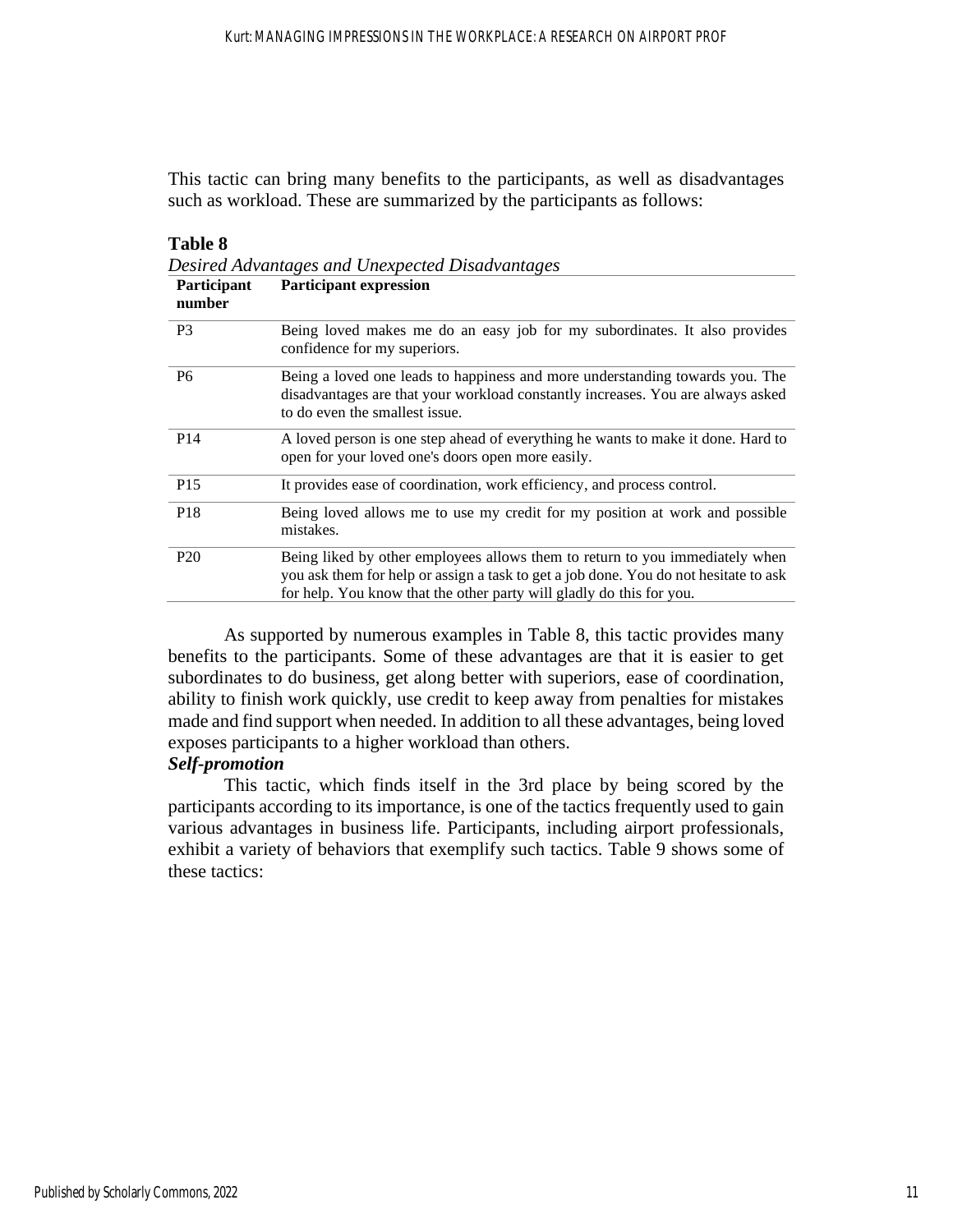This tactic can bring many benefits to the participants, as well as disadvantages such as workload. These are summarized by the participants as follows:

#### **Table 8**

*Desired Advantages and Unexpected Disadvantages*

| Participant<br>number | <b>Participant expression</b>                                                                                                                                                                                                                |
|-----------------------|----------------------------------------------------------------------------------------------------------------------------------------------------------------------------------------------------------------------------------------------|
| P <sub>3</sub>        | Being loved makes me do an easy job for my subordinates. It also provides<br>confidence for my superiors.                                                                                                                                    |
| P <sub>6</sub>        | Being a loved one leads to happiness and more understanding towards you. The<br>disadvantages are that your workload constantly increases. You are always asked<br>to do even the smallest issue.                                            |
| P <sub>14</sub>       | A loved person is one step ahead of everything he wants to make it done. Hard to<br>open for your loved one's doors open more easily.                                                                                                        |
| P <sub>15</sub>       | It provides ease of coordination, work efficiency, and process control.                                                                                                                                                                      |
| P <sub>18</sub>       | Being loved allows me to use my credit for my position at work and possible<br>mistakes.                                                                                                                                                     |
| P <sub>20</sub>       | Being liked by other employees allows them to return to you immediately when<br>you ask them for help or assign a task to get a job done. You do not hesitate to ask<br>for help. You know that the other party will gladly do this for you. |

As supported by numerous examples in Table 8, this tactic provides many benefits to the participants. Some of these advantages are that it is easier to get subordinates to do business, get along better with superiors, ease of coordination, ability to finish work quickly, use credit to keep away from penalties for mistakes made and find support when needed. In addition to all these advantages, being loved exposes participants to a higher workload than others.

# *Self-promotion*

This tactic, which finds itself in the 3rd place by being scored by the participants according to its importance, is one of the tactics frequently used to gain various advantages in business life. Participants, including airport professionals, exhibit a variety of behaviors that exemplify such tactics. Table 9 shows some of these tactics: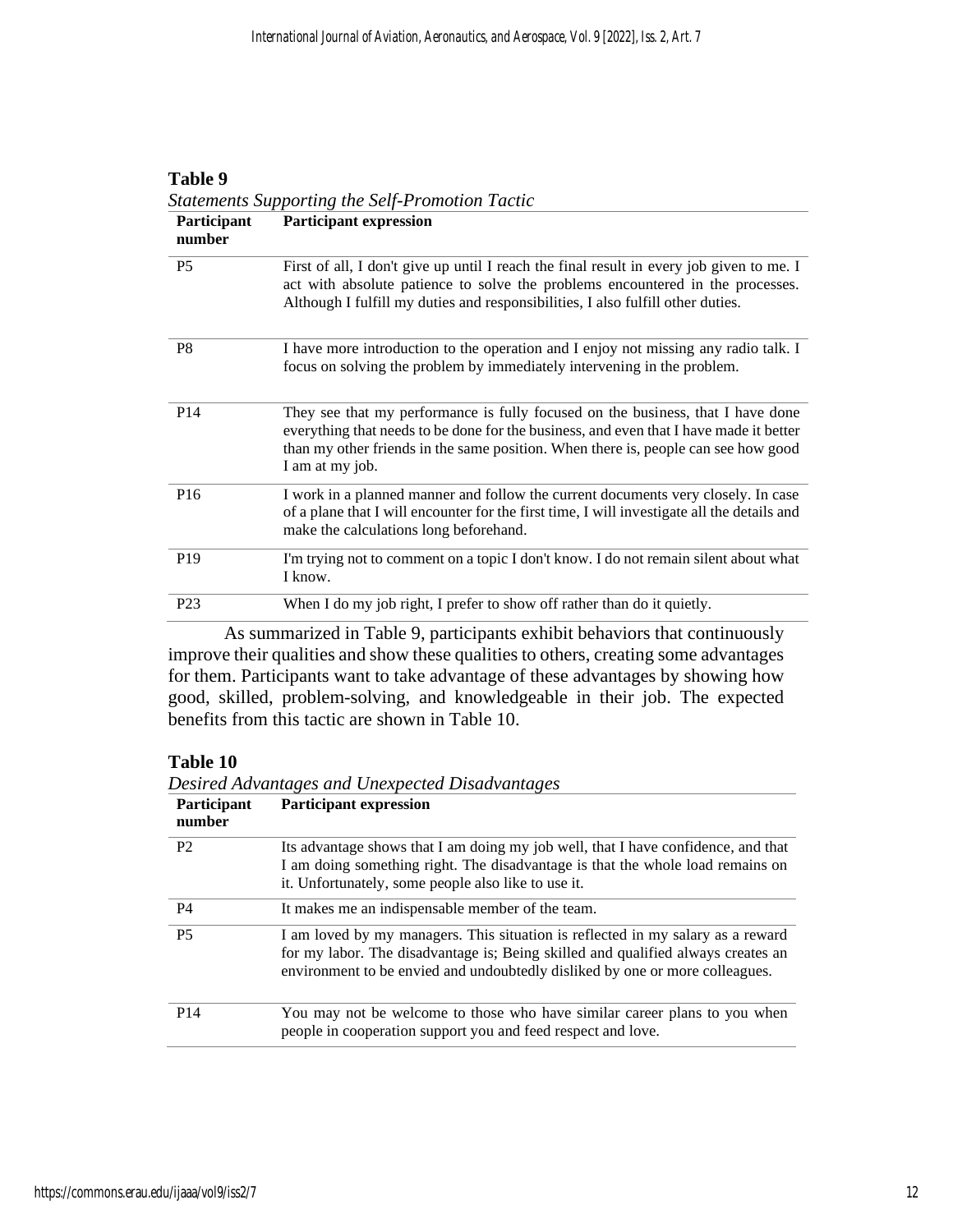### **Table 9**

|                       | <b>Statements Supporting the Self-Promotion Tactic</b>                                                                                                                                                                                                                             |
|-----------------------|------------------------------------------------------------------------------------------------------------------------------------------------------------------------------------------------------------------------------------------------------------------------------------|
| Participant<br>number | <b>Participant expression</b>                                                                                                                                                                                                                                                      |
| P <sub>5</sub>        | First of all, I don't give up until I reach the final result in every job given to me. I<br>act with absolute patience to solve the problems encountered in the processes.<br>Although I fulfill my duties and responsibilities, I also fulfill other duties.                      |
| P <sub>8</sub>        | I have more introduction to the operation and I enjoy not missing any radio talk. I<br>focus on solving the problem by immediately intervening in the problem.                                                                                                                     |
| P <sub>14</sub>       | They see that my performance is fully focused on the business, that I have done<br>everything that needs to be done for the business, and even that I have made it better<br>than my other friends in the same position. When there is, people can see how good<br>I am at my job. |
| P <sub>16</sub>       | I work in a planned manner and follow the current documents very closely. In case<br>of a plane that I will encounter for the first time, I will investigate all the details and<br>make the calculations long beforehand.                                                         |
| P <sub>19</sub>       | I'm trying not to comment on a topic I don't know. I do not remain silent about what<br>I know.                                                                                                                                                                                    |
| P <sub>23</sub>       | When I do my job right, I prefer to show off rather than do it quietly.                                                                                                                                                                                                            |

As summarized in Table 9, participants exhibit behaviors that continuously improve their qualities and show these qualities to others, creating some advantages for them. Participants want to take advantage of these advantages by showing how good, skilled, problem-solving, and knowledgeable in their job. The expected benefits from this tactic are shown in Table 10.

# **Table 10**

*Desired Advantages and Unexpected Disadvantages*

| <b>Participant</b><br>number | <b>Participant expression</b>                                                                                                                                                                                                                       |
|------------------------------|-----------------------------------------------------------------------------------------------------------------------------------------------------------------------------------------------------------------------------------------------------|
| P <sub>2</sub>               | Its advantage shows that I am doing my job well, that I have confidence, and that<br>I am doing something right. The disadvantage is that the whole load remains on<br>it. Unfortunately, some people also like to use it.                          |
| <b>P4</b>                    | It makes me an indispensable member of the team.                                                                                                                                                                                                    |
| <b>P5</b>                    | I am loved by my managers. This situation is reflected in my salary as a reward<br>for my labor. The disadvantage is; Being skilled and qualified always creates an<br>environment to be envied and undoubtedly disliked by one or more colleagues. |
| P <sub>14</sub>              | You may not be welcome to those who have similar career plans to you when<br>people in cooperation support you and feed respect and love.                                                                                                           |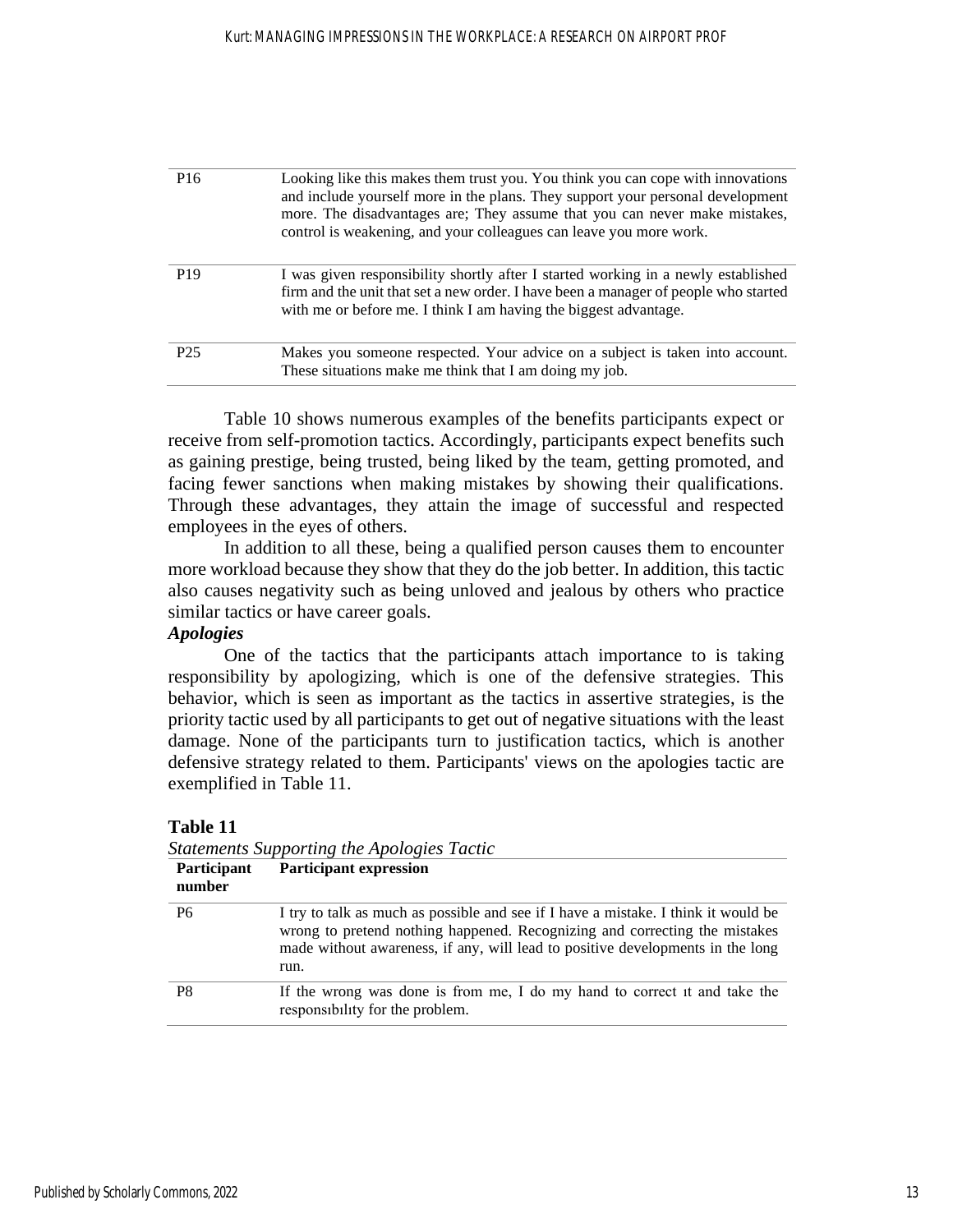| P <sub>16</sub> | Looking like this makes them trust you. You think you can cope with innovations<br>and include yourself more in the plans. They support your personal development<br>more. The disadvantages are; They assume that you can never make mistakes,<br>control is weakening, and your colleagues can leave you more work. |
|-----------------|-----------------------------------------------------------------------------------------------------------------------------------------------------------------------------------------------------------------------------------------------------------------------------------------------------------------------|
| P <sub>19</sub> | I was given responsibility shortly after I started working in a newly established<br>firm and the unit that set a new order. I have been a manager of people who started<br>with me or before me. I think I am having the biggest advantage.                                                                          |
| P <sub>25</sub> | Makes you someone respected. Your advice on a subject is taken into account.<br>These situations make me think that I am doing my job.                                                                                                                                                                                |

Table 10 shows numerous examples of the benefits participants expect or receive from self-promotion tactics. Accordingly, participants expect benefits such as gaining prestige, being trusted, being liked by the team, getting promoted, and facing fewer sanctions when making mistakes by showing their qualifications. Through these advantages, they attain the image of successful and respected employees in the eyes of others.

In addition to all these, being a qualified person causes them to encounter more workload because they show that they do the job better. In addition, this tactic also causes negativity such as being unloved and jealous by others who practice similar tactics or have career goals.

# *Apologies*

One of the tactics that the participants attach importance to is taking responsibility by apologizing, which is one of the defensive strategies. This behavior, which is seen as important as the tactics in assertive strategies, is the priority tactic used by all participants to get out of negative situations with the least damage. None of the participants turn to justification tactics, which is another defensive strategy related to them. Participants' views on the apologies tactic are exemplified in Table 11.

| Statements Supporting the Apologies Tactic |                                                                                                                                                                                                                                                            |
|--------------------------------------------|------------------------------------------------------------------------------------------------------------------------------------------------------------------------------------------------------------------------------------------------------------|
| Participant<br>number                      | <b>Participant expression</b>                                                                                                                                                                                                                              |
| P <sub>6</sub>                             | I try to talk as much as possible and see if I have a mistake. I think it would be<br>wrong to pretend nothing happened. Recognizing and correcting the mistakes<br>made without awareness, if any, will lead to positive developments in the long<br>run. |
| P <sub>8</sub>                             | If the wrong was done is from me, I do my hand to correct it and take the<br>responsibility for the problem.                                                                                                                                               |

**Table 11**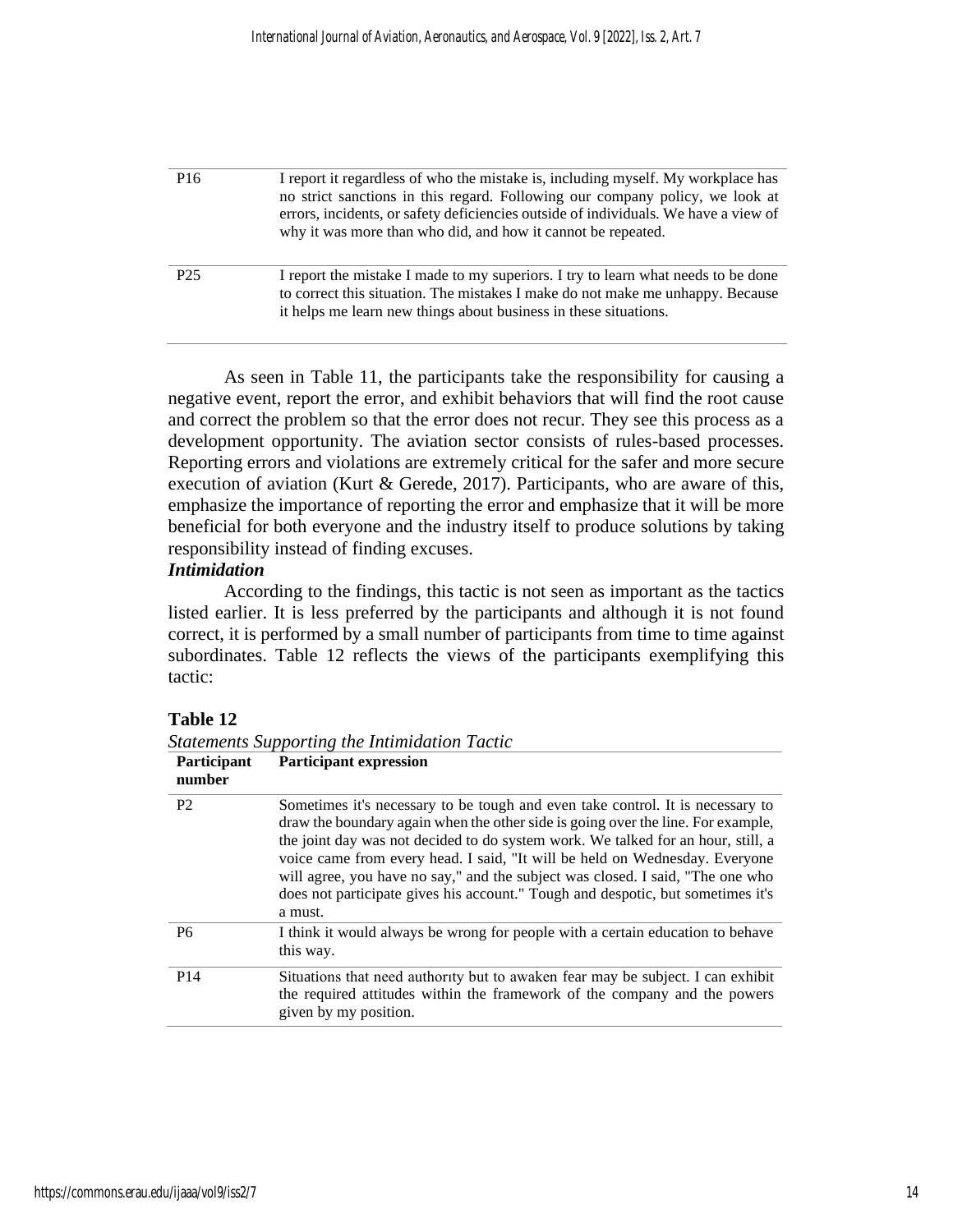| P <sub>16</sub> | I report it regardless of who the mistake is, including myself. My workplace has<br>no strict sanctions in this regard. Following our company policy, we look at<br>errors, incidents, or safety deficiencies outside of individuals. We have a view of<br>why it was more than who did, and how it cannot be repeated. |
|-----------------|-------------------------------------------------------------------------------------------------------------------------------------------------------------------------------------------------------------------------------------------------------------------------------------------------------------------------|
| P <sub>25</sub> | I report the mistake I made to my superiors. I try to learn what needs to be done<br>to correct this situation. The mistakes I make do not make me unhappy. Because<br>it helps me learn new things about business in these situations.                                                                                 |

As seen in Table 11, the participants take the responsibility for causing a negative event, report the error, and exhibit behaviors that will find the root cause and correct the problem so that the error does not recur. They see this process as a development opportunity. The aviation sector consists of rules-based processes. Reporting errors and violations are extremely critical for the safer and more secure execution of aviation (Kurt & Gerede, 2017). Participants, who are aware of this, emphasize the importance of reporting the error and emphasize that it will be more beneficial for both everyone and the industry itself to produce solutions by taking responsibility instead of finding excuses.

#### *Intimidation*

According to the findings, this tactic is not seen as important as the tactics listed earlier. It is less preferred by the participants and although it is not found correct, it is performed by a small number of participants from time to time against subordinates. Table 12 reflects the views of the participants exemplifying this tactic:

# **Table 12**

*Statements Supporting the Intimidation Tactic*

| <b>Participant</b><br>number | <b>Participant expression</b>                                                                                                                                                                                                                                                                                                                                                                                                                                                                                         |
|------------------------------|-----------------------------------------------------------------------------------------------------------------------------------------------------------------------------------------------------------------------------------------------------------------------------------------------------------------------------------------------------------------------------------------------------------------------------------------------------------------------------------------------------------------------|
| P <sub>2</sub>               | Sometimes it's necessary to be tough and even take control. It is necessary to<br>draw the boundary again when the other side is going over the line. For example,<br>the joint day was not decided to do system work. We talked for an hour, still, a<br>voice came from every head. I said, "It will be held on Wednesday. Everyone<br>will agree, you have no say," and the subject was closed. I said, "The one who<br>does not participate gives his account." Tough and despotic, but sometimes it's<br>a must. |
| <b>P6</b>                    | I think it would always be wrong for people with a certain education to behave<br>this way.                                                                                                                                                                                                                                                                                                                                                                                                                           |
| P <sub>14</sub>              | Situations that need authority but to awaken fear may be subject. I can exhibit<br>the required attitudes within the framework of the company and the powers<br>given by my position.                                                                                                                                                                                                                                                                                                                                 |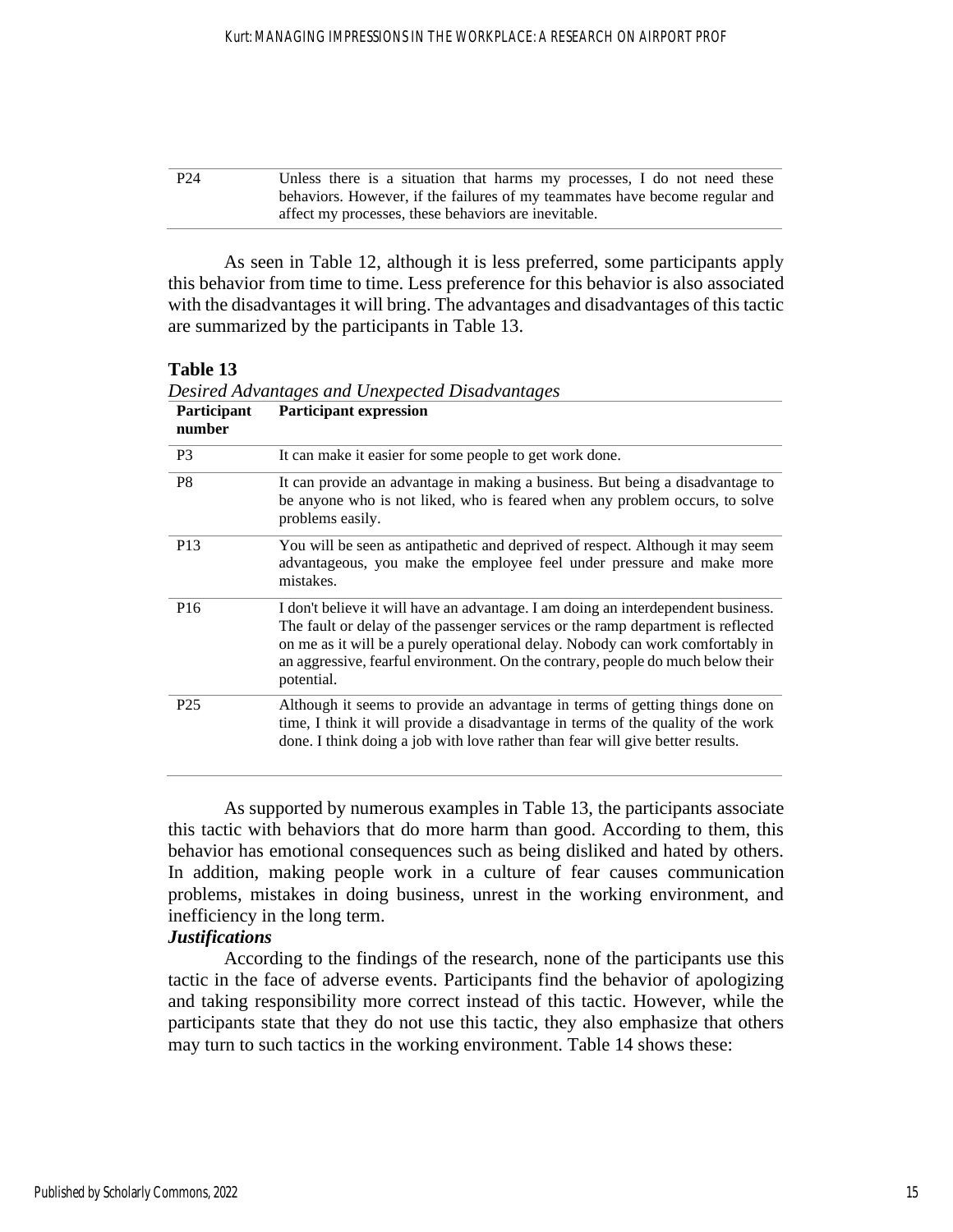| P <sub>24</sub> | Unless there is a situation that harms my processes, I do not need these    |
|-----------------|-----------------------------------------------------------------------------|
|                 | behaviors. However, if the failures of my teammates have become regular and |
|                 | affect my processes, these behaviors are inevitable.                        |

As seen in Table 12, although it is less preferred, some participants apply this behavior from time to time. Less preference for this behavior is also associated with the disadvantages it will bring. The advantages and disadvantages of this tactic are summarized by the participants in Table 13.

# **Table 13**

| Participant<br>number | <b>Participant expression</b>                                                                                                                                                                                                                                                                                                                            |
|-----------------------|----------------------------------------------------------------------------------------------------------------------------------------------------------------------------------------------------------------------------------------------------------------------------------------------------------------------------------------------------------|
| P <sub>3</sub>        | It can make it easier for some people to get work done.                                                                                                                                                                                                                                                                                                  |
| P <sub>8</sub>        | It can provide an advantage in making a business. But being a disadvantage to<br>be anyone who is not liked, who is feared when any problem occurs, to solve<br>problems easily.                                                                                                                                                                         |
| P <sub>13</sub>       | You will be seen as antipathetic and deprived of respect. Although it may seem<br>advantageous, you make the employee feel under pressure and make more<br>mistakes.                                                                                                                                                                                     |
| P <sub>16</sub>       | I don't believe it will have an advantage. I am doing an interdependent business.<br>The fault or delay of the passenger services or the ramp department is reflected<br>on me as it will be a purely operational delay. Nobody can work comfortably in<br>an aggressive, fearful environment. On the contrary, people do much below their<br>potential. |
| P <sub>25</sub>       | Although it seems to provide an advantage in terms of getting things done on<br>time, I think it will provide a disadvantage in terms of the quality of the work<br>done. I think doing a job with love rather than fear will give better results.                                                                                                       |

*Desired Advantages and Unexpected Disadvantages*

As supported by numerous examples in Table 13, the participants associate this tactic with behaviors that do more harm than good. According to them, this behavior has emotional consequences such as being disliked and hated by others. In addition, making people work in a culture of fear causes communication problems, mistakes in doing business, unrest in the working environment, and inefficiency in the long term.

# *Justifications*

According to the findings of the research, none of the participants use this tactic in the face of adverse events. Participants find the behavior of apologizing and taking responsibility more correct instead of this tactic. However, while the participants state that they do not use this tactic, they also emphasize that others may turn to such tactics in the working environment. Table 14 shows these: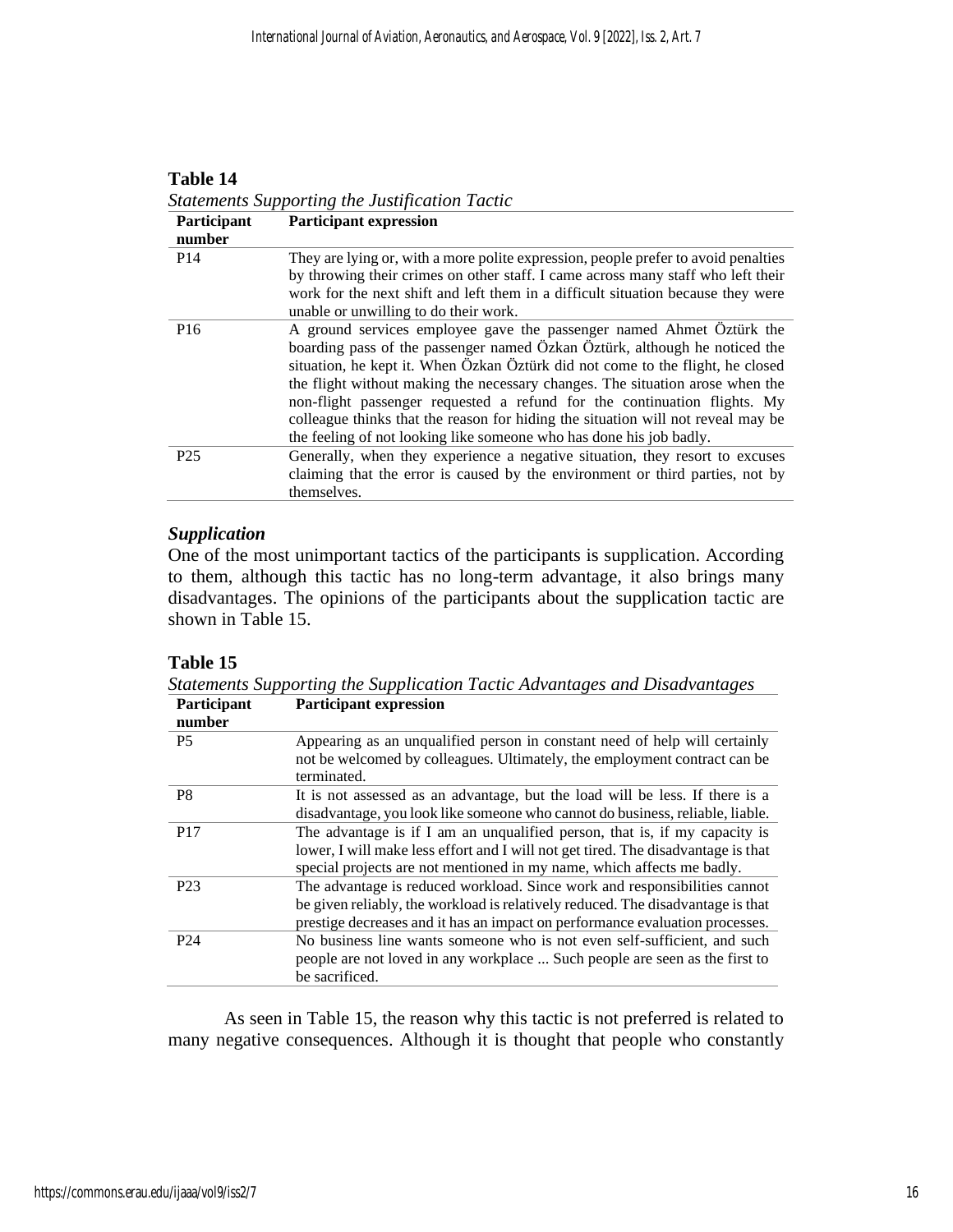### **Table 14**

*Statements Supporting the Justification Tactic* **Participant Participant expression**

| a ar ucipant    | T al ticipant capi cosión                                                                                                                                                                                                                                                                                                                                                                                                                                                                                                                                    |
|-----------------|--------------------------------------------------------------------------------------------------------------------------------------------------------------------------------------------------------------------------------------------------------------------------------------------------------------------------------------------------------------------------------------------------------------------------------------------------------------------------------------------------------------------------------------------------------------|
| number          |                                                                                                                                                                                                                                                                                                                                                                                                                                                                                                                                                              |
| P <sub>14</sub> | They are lying or, with a more polite expression, people prefer to avoid penalties<br>by throwing their crimes on other staff. I came across many staff who left their                                                                                                                                                                                                                                                                                                                                                                                       |
|                 | work for the next shift and left them in a difficult situation because they were<br>unable or unwilling to do their work.                                                                                                                                                                                                                                                                                                                                                                                                                                    |
| P <sub>16</sub> | A ground services employee gave the passenger named Ahmet Öztürk the<br>boarding pass of the passenger named Özkan Öztürk, although he noticed the<br>situation, he kept it. When Özkan Öztürk did not come to the flight, he closed<br>the flight without making the necessary changes. The situation arose when the<br>non-flight passenger requested a refund for the continuation flights. My<br>colleague thinks that the reason for hiding the situation will not reveal may be<br>the feeling of not looking like someone who has done his job badly. |
| P <sub>25</sub> | Generally, when they experience a negative situation, they resort to excuses<br>claiming that the error is caused by the environment or third parties, not by<br>themselves.                                                                                                                                                                                                                                                                                                                                                                                 |

# *Supplication*

One of the most unimportant tactics of the participants is supplication. According to them, although this tactic has no long-term advantage, it also brings many disadvantages. The opinions of the participants about the supplication tactic are shown in Table 15.

# **Table 15**

*Statements Supporting the Supplication Tactic Advantages and Disadvantages*

| Participant<br>number | <b>Participant expression</b>                                                            |
|-----------------------|------------------------------------------------------------------------------------------|
| <b>P5</b>             | Appearing as an unqualified person in constant need of help will certainly               |
|                       | not be welcomed by colleagues. Ultimately, the employment contract can be<br>terminated. |
| P8                    | It is not assessed as an advantage, but the load will be less. If there is a             |
|                       | disadvantage, you look like someone who cannot do business, reliable, liable.            |
| P <sub>17</sub>       | The advantage is if I am an unqualified person, that is, if my capacity is               |
|                       | lower, I will make less effort and I will not get tired. The disadvantage is that        |
|                       | special projects are not mentioned in my name, which affects me badly.                   |
| P <sub>23</sub>       | The advantage is reduced workload. Since work and responsibilities cannot                |
|                       | be given reliably, the workload is relatively reduced. The disadvantage is that          |
|                       | prestige decreases and it has an impact on performance evaluation processes.             |
| P <sub>24</sub>       | No business line wants someone who is not even self-sufficient, and such                 |
|                       | people are not loved in any workplace  Such people are seen as the first to              |
|                       | be sacrificed.                                                                           |

As seen in Table 15, the reason why this tactic is not preferred is related to many negative consequences. Although it is thought that people who constantly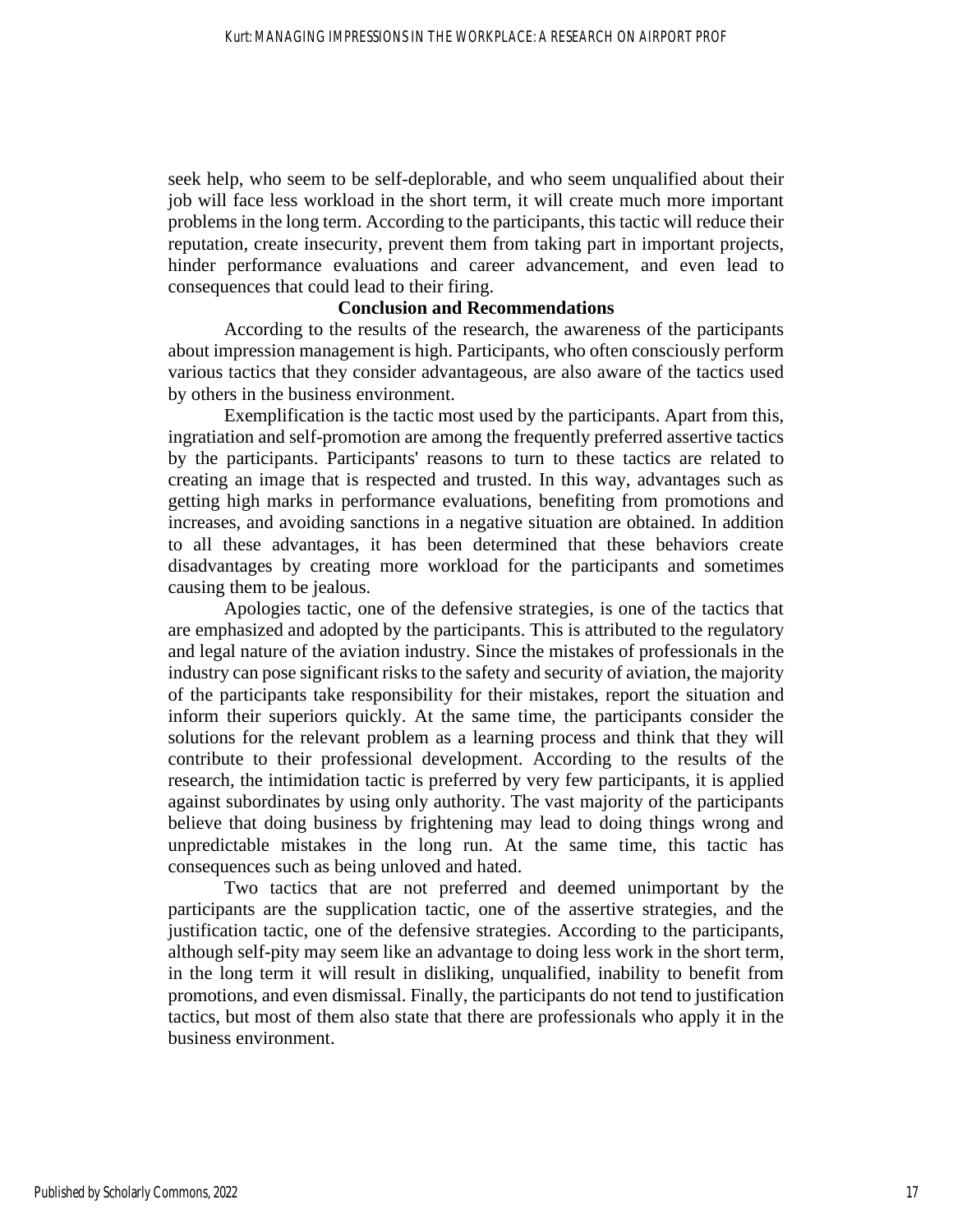seek help, who seem to be self-deplorable, and who seem unqualified about their job will face less workload in the short term, it will create much more important problems in the long term. According to the participants, this tactic will reduce their reputation, create insecurity, prevent them from taking part in important projects, hinder performance evaluations and career advancement, and even lead to consequences that could lead to their firing.

#### **Conclusion and Recommendations**

According to the results of the research, the awareness of the participants about impression management is high. Participants, who often consciously perform various tactics that they consider advantageous, are also aware of the tactics used by others in the business environment.

Exemplification is the tactic most used by the participants. Apart from this, ingratiation and self-promotion are among the frequently preferred assertive tactics by the participants. Participants' reasons to turn to these tactics are related to creating an image that is respected and trusted. In this way, advantages such as getting high marks in performance evaluations, benefiting from promotions and increases, and avoiding sanctions in a negative situation are obtained. In addition to all these advantages, it has been determined that these behaviors create disadvantages by creating more workload for the participants and sometimes causing them to be jealous.

Apologies tactic, one of the defensive strategies, is one of the tactics that are emphasized and adopted by the participants. This is attributed to the regulatory and legal nature of the aviation industry. Since the mistakes of professionals in the industry can pose significant risks to the safety and security of aviation, the majority of the participants take responsibility for their mistakes, report the situation and inform their superiors quickly. At the same time, the participants consider the solutions for the relevant problem as a learning process and think that they will contribute to their professional development. According to the results of the research, the intimidation tactic is preferred by very few participants, it is applied against subordinates by using only authority. The vast majority of the participants believe that doing business by frightening may lead to doing things wrong and unpredictable mistakes in the long run. At the same time, this tactic has consequences such as being unloved and hated.

Two tactics that are not preferred and deemed unimportant by the participants are the supplication tactic, one of the assertive strategies, and the justification tactic, one of the defensive strategies. According to the participants, although self-pity may seem like an advantage to doing less work in the short term, in the long term it will result in disliking, unqualified, inability to benefit from promotions, and even dismissal. Finally, the participants do not tend to justification tactics, but most of them also state that there are professionals who apply it in the business environment.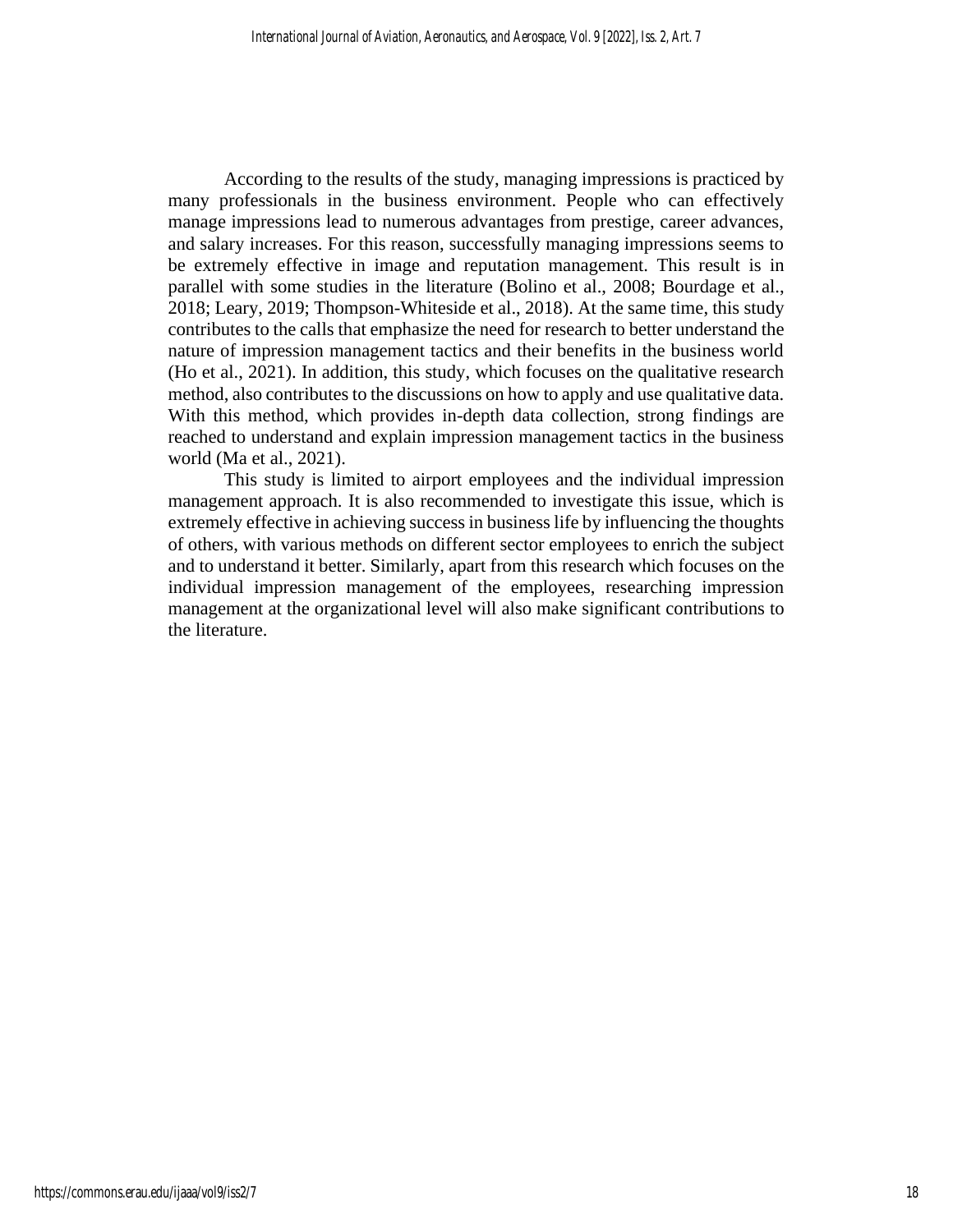According to the results of the study, managing impressions is practiced by many professionals in the business environment. People who can effectively manage impressions lead to numerous advantages from prestige, career advances, and salary increases. For this reason, successfully managing impressions seems to be extremely effective in image and reputation management. This result is in parallel with some studies in the literature (Bolino et al., 2008; Bourdage et al., 2018; Leary, 2019; Thompson-Whiteside et al., 2018). At the same time, this study contributes to the calls that emphasize the need for research to better understand the nature of impression management tactics and their benefits in the business world (Ho et al., 2021). In addition, this study, which focuses on the qualitative research method, also contributes to the discussions on how to apply and use qualitative data. With this method, which provides in-depth data collection, strong findings are reached to understand and explain impression management tactics in the business world (Ma et al., 2021).

This study is limited to airport employees and the individual impression management approach. It is also recommended to investigate this issue, which is extremely effective in achieving success in business life by influencing the thoughts of others, with various methods on different sector employees to enrich the subject and to understand it better. Similarly, apart from this research which focuses on the individual impression management of the employees, researching impression management at the organizational level will also make significant contributions to the literature.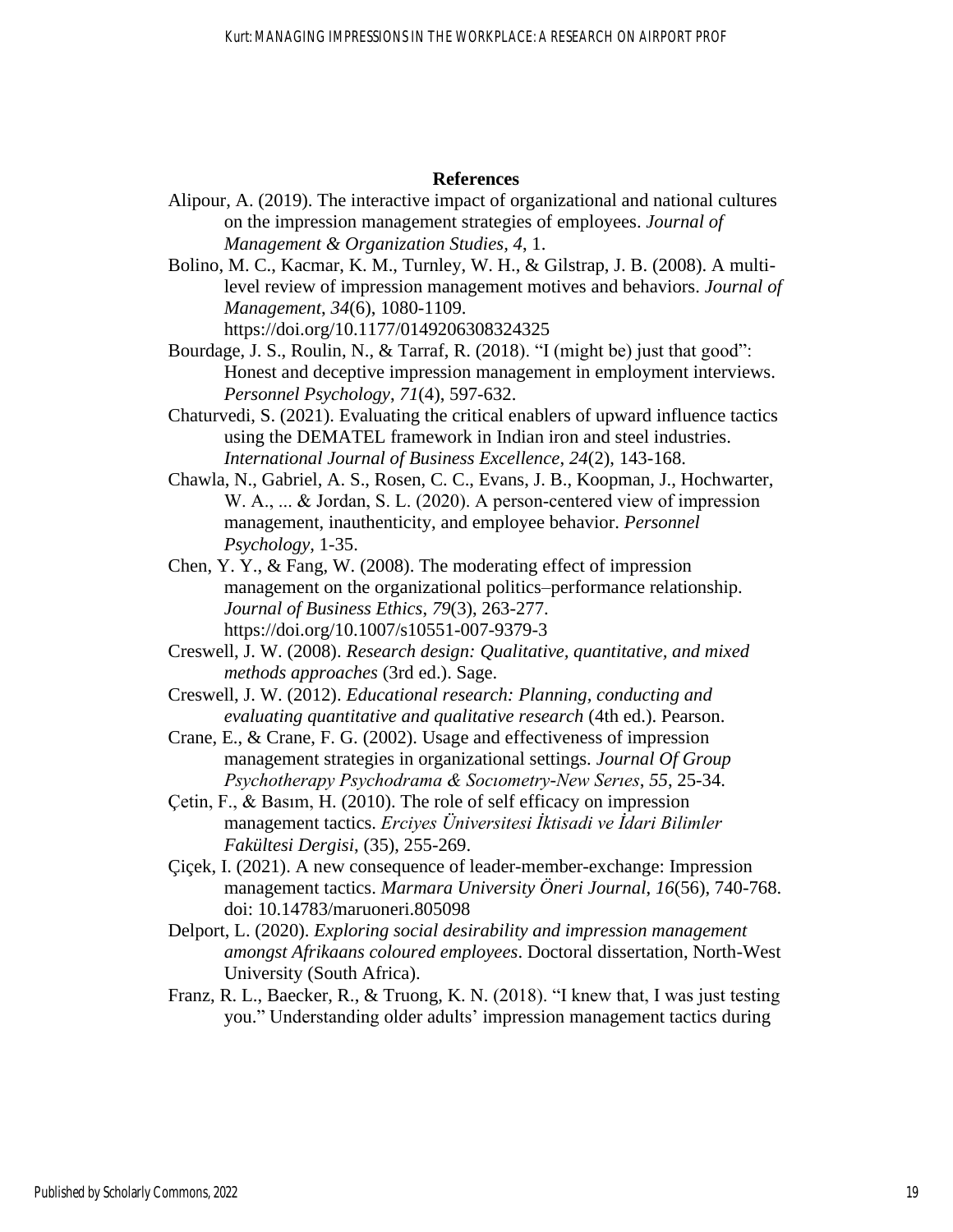#### **References**

- Alipour, A. (2019). The interactive impact of organizational and national cultures on the impression management strategies of employees. *Journal of Management & Organization Studies, 4*, 1.
- Bolino, M. C., Kacmar, K. M., Turnley, W. H., & Gilstrap, J. B. (2008). A multilevel review of impression management motives and behaviors. *Journal of Management*, *34*(6), 1080-1109.

https://doi.org/10.1177/0149206308324325

- Bourdage, J. S., Roulin, N., & Tarraf, R. (2018). "I (might be) just that good": Honest and deceptive impression management in employment interviews. *Personnel Psychology*, *71*(4), 597-632.
- Chaturvedi, S. (2021). Evaluating the critical enablers of upward influence tactics using the DEMATEL framework in Indian iron and steel industries. *International Journal of Business Excellence*, *24*(2), 143-168.
- Chawla, N., Gabriel, A. S., Rosen, C. C., Evans, J. B., Koopman, J., Hochwarter, W. A., ... & Jordan, S. L. (2020). A person-centered view of impression management, inauthenticity, and employee behavior. *Personnel Psychology,* 1-35.
- Chen, Y. Y., & Fang, W. (2008). The moderating effect of impression management on the organizational politics–performance relationship. *Journal of Business Ethics*, *79*(3), 263-277. https://doi.org/10.1007/s10551-007-9379-3
- Creswell, J. W. (2008). *Research design: Qualitative, quantitative, and mixed methods approaches* (3rd ed.). Sage.
- Creswell, J. W. (2012). *Educational research: Planning, conducting and evaluating quantitative and qualitative research* (4th ed.). Pearson.
- Crane, E., & Crane, F. G. (2002). Usage and effectiveness of impression management strategies in organizational settings. *Journal Of Group Psychotherapy Psychodrama & Socıometry-New Serıes*, *55*, 25-34.
- Çetin, F., & Basım, H. (2010). The role of self efficacy on impression management tactics. *Erciyes Üniversitesi İktisadi ve İdari Bilimler Fakültesi Dergisi*, (35), 255-269.
- Çiçek, I. (2021). A new consequence of leader-member-exchange: Impression management tactics. *Marmara University Öneri Journal*, *16*(56), 740-768. doi: 10.14783/maruoneri.805098
- Delport, L. (2020). *Exploring social desirability and impression management amongst Afrikaans coloured employees*. Doctoral dissertation, North-West University (South Africa).
- Franz, R. L., Baecker, R., & Truong, K. N. (2018). "I knew that, I was just testing you." Understanding older adults' impression management tactics during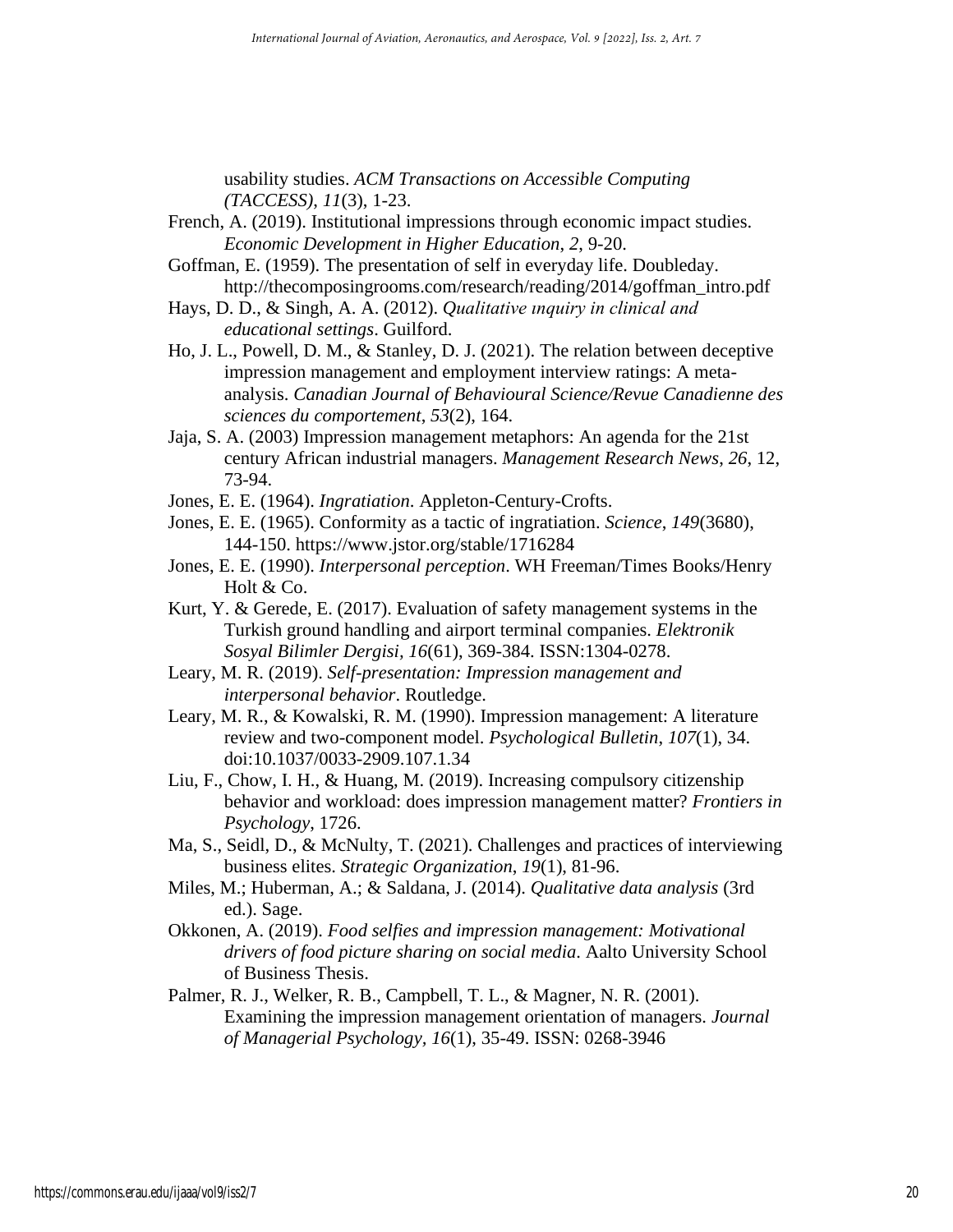usability studies. *ACM Transactions on Accessible Computing (TACCESS)*, *11*(3), 1-23.

- French, A. (2019). Institutional impressions through economic impact studies. *Economic Development in Higher Education*, *2*, 9-20.
- Goffman, E. (1959). The presentation of self in everyday life. Doubleday. http://thecomposingrooms.com/research/reading/2014/goffman\_intro.pdf
- Hays, D. D., & Singh, A. A. (2012). *Qualitative ınquiry in clinical and educational settings*. Guilford.
- Ho, J. L., Powell, D. M., & Stanley, D. J. (2021). The relation between deceptive impression management and employment interview ratings: A metaanalysis. *Canadian Journal of Behavioural Science/Revue Canadienne des sciences du comportement*, *53*(2), 164.
- Jaja, S. A. (2003) Impression management metaphors: An agenda for the 21st century African industrial managers. *Management Research News*, *26*, 12, 73-94.
- Jones, E. E. (1964). *Ingratiation*. Appleton-Century-Crofts.
- Jones, E. E. (1965). Conformity as a tactic of ingratiation. *Science*, *149*(3680), 144-150. https://www.jstor.org/stable/1716284
- Jones, E. E. (1990). *Interpersonal perception*. WH Freeman/Times Books/Henry Holt & Co.
- Kurt, Y. & Gerede, E. (2017). Evaluation of safety management systems in the Turkish ground handling and airport terminal companies. *Elektronik Sosyal Bilimler Dergisi, 16*(61), 369-384. ISSN:1304-0278.
- Leary, M. R. (2019). *Self-presentation: Impression management and interpersonal behavior*. Routledge.
- Leary, M. R., & Kowalski, R. M. (1990). Impression management: A literature review and two-component model. *Psychological Bulletin*, *107*(1), 34. doi:10.1037/0033-2909.107.1.34
- Liu, F., Chow, I. H., & Huang, M. (2019). Increasing compulsory citizenship behavior and workload: does impression management matter? *Frontiers in Psychology*, 1726.
- Ma, S., Seidl, D., & McNulty, T. (2021). Challenges and practices of interviewing business elites. *Strategic Organization*, *19*(1), 81-96.
- Miles, M.; Huberman, A.; & Saldana, J. (2014). *Qualitative data analysis* (3rd ed.). Sage.
- Okkonen, A. (2019). *Food selfies and impression management: Motivational drivers of food picture sharing on social media*. Aalto University School of Business Thesis.
- Palmer, R. J., Welker, R. B., Campbell, T. L., & Magner, N. R. (2001). Examining the impression management orientation of managers. *Journal of Managerial Psychology, 16*(1), 35-49. ISSN: 0268-3946